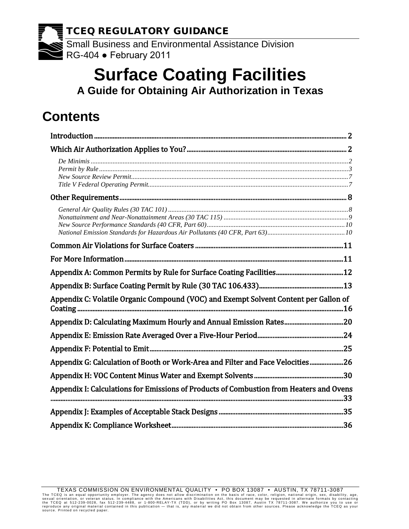TCEQ REGULATORY GUIDANCE Small Business and Environmental Assistance Division RG-404 ● February 2011

# **Surface Coating Facilities**

**A Guide for Obtaining Air Authorization in Texas**

# **Contents**

| Appendix C: Volatile Organic Compound (VOC) and Exempt Solvent Content per Gallon of    |  |
|-----------------------------------------------------------------------------------------|--|
| Appendix D: Calculating Maximum Hourly and Annual Emission Rates20                      |  |
|                                                                                         |  |
|                                                                                         |  |
| Appendix G: Calculation of Booth or Work-Area and Filter and Face Velocities26          |  |
|                                                                                         |  |
| Appendix I: Calculations for Emissions of Products of Combustion from Heaters and Ovens |  |
|                                                                                         |  |
|                                                                                         |  |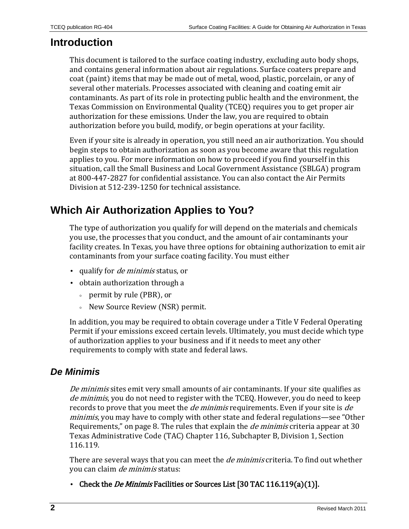# <span id="page-1-0"></span>**Introduction**

This document is tailored to the surface coating industry, excluding auto body shops, and contains general information about air regulations. Surface coaters prepare and coat (paint) items that may be made out of metal, wood, plastic, porcelain, or any of several other materials. Processes associated with cleaning and coating emit air contaminants. As part of its role in protecting public health and the environment, the Texas Commission on Environmental Quality (TCEQ) requires you to get proper air authorization for these emissions. Under the law, you are required to obtain authorization before you build, modify, or begin operations at your facility.

Even if your site is already in operation, you still need an air authorization. You should begin steps to obtain authorization as soon as you become aware that this regulation applies to you. For more information on how to proceed if you find yourself in this situation, call the Small Business and Local Government Assistance (SBLGA) program at 800-447-2827 for confidential assistance. You can also contact the Air Permits Division at 512-239-1250 for technical assistance.

# <span id="page-1-1"></span>**Which Air Authorization Applies to You?**

The type of authorization you qualify for will depend on the materials and chemicals you use, the processes that you conduct, and the amount of air contaminants your facility creates. In Texas, you have three options for obtaining authorization to emit air contaminants from your surface coating facility. You must either

- qualify for *de minimis* status, or
- obtain authorization through a
	- permit by rule (PBR), or
	- New Source Review (NSR) permit.

In addition, you may be required to obtain coverage under a Title V Federal Operating Permit if your emissions exceed certain levels. Ultimately, you must decide which type of authorization applies to your business and if it needs to meet any other requirements to comply with state and federal laws.

### <span id="page-1-2"></span>*De Minimis*

De minimis sites emit very small amounts of air contaminants. If your site qualifies as de minimis, you do not need to register with the TCEQ. However, you do need to keep records to prove that you meet the *de minimis* requirements. Even if your site is *de* minimis, you may have to comply with other state and federal regulations—see "Other Requirements," on page 8. The rules that explain the *de minimis* criteria appear at 30 [Texas Administrative Code \(TAC\) Chapter 116, Subchapter B, Division 1, Section](http://info.sos.state.tx.us/pls/pub/readtac$ext.TacPage?sl=T&app=9&p_dir=N&p_rloc=86589&p_tloc=&p_ploc=1&pg=9&p_tac=&ti=30&pt=1&ch=116&rl=119)  [116.119.](http://info.sos.state.tx.us/pls/pub/readtac$ext.TacPage?sl=T&app=9&p_dir=N&p_rloc=86589&p_tloc=&p_ploc=1&pg=9&p_tac=&ti=30&pt=1&ch=116&rl=119)

There are several ways that you can meet the *de minimis* criteria. To find out whether you can claim de minimis status:

• Check the *De Minimis* Facilities or Sources List [\[30 TAC 116.119\(a\)\(1\)\]](http://info.sos.state.tx.us/pls/pub/readtac$ext.TacPage?sl=T&app=9&p_dir=N&p_rloc=86589&p_tloc=&p_ploc=1&pg=9&p_tac=&ti=30&pt=1&ch=116&rl=119).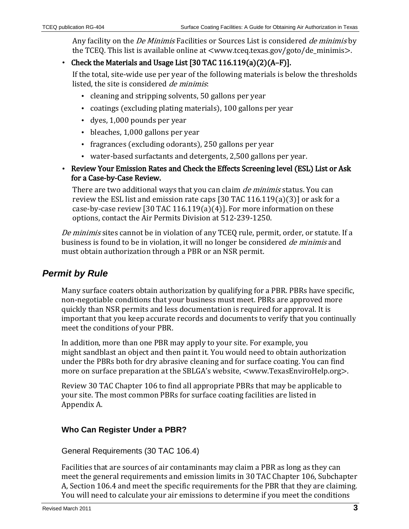Any facility on the *De Minimis* Facilities or Sources List is considered *de minimis* by the TCEQ. This list is available online at [<www.tceq.texas.gov/goto/de\\_minimis>](http://www.tceq.texas.gov/goto/de_minimis).

• Check the Materials and Usage List [\[30 TAC 116.119\(a\)\(2\)\(A–F\)\]](http://info.sos.state.tx.us/pls/pub/readtac$ext.TacPage?sl=T&app=9&p_dir=N&p_rloc=86589&p_tloc=&p_ploc=1&pg=9&p_tac=&ti=30&pt=1&ch=116&rl=119).

If the total, site-wide use per year of the following materials is below the thresholds listed, the site is considered *de minimis*:

- cleaning and stripping solvents, 50 gallons per year
- coatings (excluding plating materials), 100 gallons per year
- dyes, 1,000 pounds per year
- bleaches, 1,000 gallons per year
- fragrances (excluding odorants), 250 gallons per year
- water-based surfactants and detergents, 2,500 gallons per year.
- Review Your Emission Rates and Check the Effects Screening level (ESL) List or Ask for a Case-by-Case Review.

There are two additional ways that you can claim *de minimis* status. You can review the ESL list and emission rate caps [\[30 TAC 116.119\(a\)\(3\)\]](http://info.sos.state.tx.us/pls/pub/readtac$ext.TacPage?sl=T&app=9&p_dir=N&p_rloc=86589&p_tloc=&p_ploc=1&pg=9&p_tac=&ti=30&pt=1&ch=116&rl=119) or ask for a case-by-case review [\[30 TAC 116.119\(a\)\(4\)\]](http://info.sos.state.tx.us/pls/pub/readtac$ext.TacPage?sl=T&app=9&p_dir=N&p_rloc=86589&p_tloc=&p_ploc=1&pg=9&p_tac=&ti=30&pt=1&ch=116&rl=119). For more information on these options, contact the Air Permits Division at 512-239-1250.

De minimis sites cannot be in violation of any TCEQ rule, permit, order, or statute. If a business is found to be in violation, it will no longer be considered de minimis and must obtain authorization through a PBR or an NSR permit.

# <span id="page-2-0"></span>*Permit by Rule*

Many surface coaters obtain authorization by qualifying for a PBR. PBRs have specific, non-negotiable conditions that your business must meet. PBRs are approved more quickly than NSR permits and less documentation is required for approval. It is important that you keep accurate records and documents to verify that you continually meet the conditions of your PBR.

In addition, more than one PBR may apply to your site. For example, you might sandblast an object and then paint it. You would need to obtain authorization under the PBRs both for dry abrasive cleaning and for surface coating. You can find more on surface preparation at the SBLGA's website, [<www.TexasEnviroHelp.org>](http://www.texasenvirohelp.org/).

Revie[w 30 TAC Chapter 106](http://info.sos.state.tx.us/pls/pub/readtac$ext.ViewTAC?tac_view=4&ti=30&pt=1&ch=106) to find all appropriate PBRs that may be applicable to your site. The most common PBRs for surface coating facilities are listed in Appendix A.

### **Who Can Register Under a PBR?**

General Requirements [\(30 TAC 106.4\)](http://info.sos.state.tx.us/pls/pub/readtac$ext.TacPage?sl=R&app=9&p_dir=&p_rloc=&p_tloc=&p_ploc=&pg=1&p_tac=&ti=30&pt=1&ch=106&rl=4)

Facilities that are sources of air contaminants may claim a PBR as long as they can meet the general requirements and emission limits in [30 TAC Chapter 106, Subchapter](http://info.sos.state.tx.us/pls/pub/readtac$ext.TacPage?sl=R&app=9&p_dir=&p_rloc=&p_tloc=&p_ploc=&pg=1&p_tac=&ti=30&pt=1&ch=106&rl=4)  [A, Section 106.4](http://info.sos.state.tx.us/pls/pub/readtac$ext.TacPage?sl=R&app=9&p_dir=&p_rloc=&p_tloc=&p_ploc=&pg=1&p_tac=&ti=30&pt=1&ch=106&rl=4) and meet the specific requirements for the PBR that they are claiming. You will need to calculate your air emissions to determine if you meet the conditions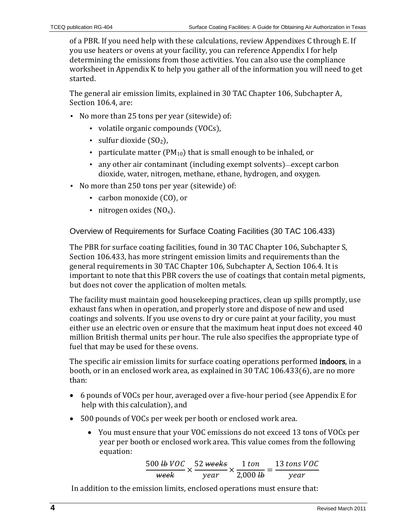of a PBR. If you need help with these calculations, review Appendixes C through E. If you use heaters or ovens at your facility, you can reference Appendix I for help determining the emissions from those activities. You can also use the compliance worksheet in Appendix K to help you gather all of the information you will need to get started.

The general air emission limits, explained in [30 TAC Chapter 106, Subchapter A,](http://info.sos.state.tx.us/pls/pub/readtac$ext.TacPage?sl=R&app=9&p_dir=&p_rloc=&p_tloc=&p_ploc=&pg=1&p_tac=&ti=30&pt=1&ch=106&rl=4)  [Section 106.4,](http://info.sos.state.tx.us/pls/pub/readtac$ext.TacPage?sl=R&app=9&p_dir=&p_rloc=&p_tloc=&p_ploc=&pg=1&p_tac=&ti=30&pt=1&ch=106&rl=4) are:

- No more than 25 tons per year (sitewide) of:
	- volatile organic compounds (VOCs),
	- sulfur dioxide  $(SO<sub>2</sub>)$ ,
	- particulate matter ( $PM_{10}$ ) that is small enough to be inhaled, or
	- any other air contaminant (including exempt solvents)—except carbon dioxide, water, nitrogen, methane, ethane, hydrogen, and oxygen.
- No more than 250 tons per year (sitewide) of:
	- carbon monoxide (CO), or
	- nitrogen oxides  $(NO<sub>x</sub>)$ .

Overview of Requirements for Surface Coating Facilities [\(30 TAC 106.433\)](http://info.sos.state.tx.us/pls/pub/readtac$ext.TacPage?sl=R&app=9&p_dir=&p_rloc=&p_tloc=&p_ploc=&pg=1&p_tac=&ti=30&pt=1&ch=106&rl=433)

The PBR for surface coating facilities, found in [30 TAC Chapter 106, Subchapter S,](http://info.sos.state.tx.us/pls/pub/readtac$ext.TacPage?sl=R&app=9&p_dir=&p_rloc=&p_tloc=&p_ploc=&pg=1&p_tac=&ti=30&pt=1&ch=106&rl=433)  [Section 106.433,](http://info.sos.state.tx.us/pls/pub/readtac$ext.TacPage?sl=R&app=9&p_dir=&p_rloc=&p_tloc=&p_ploc=&pg=1&p_tac=&ti=30&pt=1&ch=106&rl=433) has more stringent emission limits and requirements than the general requirements i[n 30 TAC Chapter 106, Subchapter A, Section 106.4.](http://info.sos.state.tx.us/pls/pub/readtac$ext.TacPage?sl=R&app=9&p_dir=&p_rloc=&p_tloc=&p_ploc=&pg=1&p_tac=&ti=30&pt=1&ch=106&rl=4) It is important to note that this PBR covers the use of coatings that contain metal pigments, but does not cover the application of molten metals.

The facility must maintain good housekeeping practices, clean up spills promptly, use exhaust fans when in operation, and properly store and dispose of new and used coatings and solvents. If you use ovens to dry or cure paint at your facility, you must either use an electric oven or ensure that the maximum heat input does not exceed 40 million British thermal units per hour. The rule also specifies the appropriate type of fuel that may be used for these ovens.

The specific air emission limits for surface coating operations performed indoors, in a booth, or in an enclosed work area, as explained in [30 TAC 106.433\(6\),](http://info.sos.state.tx.us/pls/pub/readtac$ext.TacPage?sl=R&app=9&p_dir=&p_rloc=&p_tloc=&p_ploc=&pg=1&p_tac=&ti=30&pt=1&ch=106&rl=433) are no more than:

- 6 pounds of VOCs per hour, averaged over a five-hour period (see Appendix E for help with this calculation), and
- 500 pounds of VOCs per week per booth or enclosed work area.
	- You must ensure that your VOC emissions do not exceed 13 tons of VOCs per year per booth or enclosed work area. This value comes from the following equation:

500 <del>tb</del> VOC  $\overline{week}$   $\times$ 52 <del>weeks</del> year ×  $\frac{1 \text{ ton}}{2,000 \text{ lb}} = \frac{13 \text{ tons } VOC}{year}$ 

In addition to the emission limits, enclosed operations must ensure that: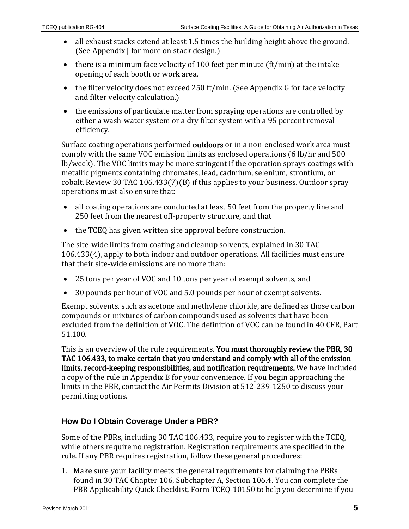- all exhaust stacks extend at least 1.5 times the building height above the ground. (See Appendix J for more on stack design.)
- there is a minimum face velocity of 100 feet per minute (ft/min) at the intake opening of each booth or work area,
- the filter velocity does not exceed 250 ft/min. (See Appendix G for face velocity and filter velocity calculation.)
- the emissions of particulate matter from spraying operations are controlled by either a wash-water system or a dry filter system with a 95 percent removal efficiency.

Surface coating operations performed **outdoors** or in a non-enclosed work area must comply with the same VOC emission limits as enclosed operations (6 lb/hr and 500 lb/week). The VOC limits may be more stringent if the operation sprays coatings with metallic pigments containing chromates, lead, cadmium, selenium, strontium, or cobalt. Review [30 TAC 106.433\(7\)\(B\)](http://info.sos.state.tx.us/pls/pub/readtac$ext.TacPage?sl=R&app=9&p_dir=&p_rloc=&p_tloc=&p_ploc=&pg=1&p_tac=&ti=30&pt=1&ch=106&rl=433) if this applies to your business. Outdoor spray operations must also ensure that:

- all coating operations are conducted at least 50 feet from the property line and 250 feet from the nearest off-property structure, and that
- the TCEQ has given written site approval before construction.

The site-wide limits from coating and cleanup solvents, explained in [30 TAC](http://info.sos.state.tx.us/pls/pub/readtac$ext.TacPage?sl=R&app=9&p_dir=&p_rloc=&p_tloc=&p_ploc=&pg=1&p_tac=&ti=30&pt=1&ch=106&rl=433)  [106.433\(4\),](http://info.sos.state.tx.us/pls/pub/readtac$ext.TacPage?sl=R&app=9&p_dir=&p_rloc=&p_tloc=&p_ploc=&pg=1&p_tac=&ti=30&pt=1&ch=106&rl=433) apply to both indoor and outdoor operations. All facilities must ensure that their site-wide emissions are no more than:

- 25 tons per year of VOC and 10 tons per year of exempt solvents, and
- 30 pounds per hour of VOC and 5.0 pounds per hour of exempt solvents.

Exempt solvents, such as acetone and methylene chloride, are defined as those carbon compounds or mixtures of carbon compounds used as solvents that have been excluded from the definition of VOC. The definition of VOC can be found in [40 CFR, Part](http://ecfr.gpoaccess.gov/cgi/t/text/text-idx?c=ecfr&sid=3073002795c253061cb2d1510a6ccc20&rgn=div8&view=text&node=40:2.0.1.1.2.3.8.1&idno=40)  [51.100.](http://ecfr.gpoaccess.gov/cgi/t/text/text-idx?c=ecfr&sid=3073002795c253061cb2d1510a6ccc20&rgn=div8&view=text&node=40:2.0.1.1.2.3.8.1&idno=40)

This is an overview of the rule requirements. You must thoroughly review the PBR, 30 [TAC 106.433,](http://info.sos.state.tx.us/pls/pub/readtac$ext.TacPage?sl=R&app=9&p_dir=&p_rloc=&p_tloc=&p_ploc=&pg=1&p_tac=&ti=30&pt=1&ch=106&rl=433) to make certain that you understand and comply with all of the emission limits, record-keeping responsibilities, and notification requirements. We have included a copy of the rule in Appendix B for your convenience. If you begin approaching the limits in the PBR, contact the Air Permits Division at 512-239-1250 to discuss your permitting options.

#### **How Do I Obtain Coverage Under a PBR?**

Some of the PBRs, including [30 TAC 106.433,](http://info.sos.state.tx.us/pls/pub/readtac$ext.TacPage?sl=R&app=9&p_dir=&p_rloc=&p_tloc=&p_ploc=&pg=1&p_tac=&ti=30&pt=1&ch=106&rl=433) require you to register with the TCEQ, while others require no registration. Registration requirements are specified in the rule. If any PBR requires registration, follow these general procedures:

1. Make sure your facility meets the general requirements for claiming the PBRs found in [30 TAC Chapter 106, Subchapter A, Section 106.4.](http://info.sos.state.tx.us/pls/pub/readtac$ext.TacPage?sl=R&app=9&p_dir=&p_rloc=&p_tloc=&p_ploc=&pg=1&p_tac=&ti=30&pt=1&ch=106&rl=4) You can complete the PBR Applicability Quick Checklist, Form TCEQ-10150 to help you determine if you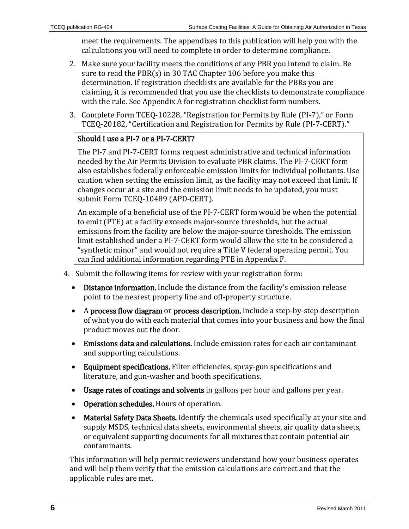meet the requirements. The appendixes to this publication will help you with the calculations you will need to complete in order to determine compliance.

- 2. Make sure your facility meets the conditions of any PBR you intend to claim. Be sure to read the PBR(s) in [30 TAC Chapter 106](http://info.sos.state.tx.us/pls/pub/readtac$ext.ViewTAC?tac_view=4&ti=30&pt=1&ch=106) before you make this determination. If registration checklists are available for the PBRs you are claiming, it is recommended that you use the checklists to demonstrate compliance with the rule. See Appendix A for registration checklist form numbers.
- 3. Complete Form [TCEQ-10228,](http://www.tceq.state.tx.us/assets/public/permitting/air/Forms/PermitsByRule/10228.pdf) "Registration for Permits by Rule (PI-7)," or Form [TCEQ-20182,](http://www.tceq.state.tx.us/assets/public/permitting/air/Forms/PermitsByRule/20182.pdf) "Certification and Registration for Permits by Rule (PI-7-CERT)."

#### Should I use a PI-7 or a PI-7-CERT?

The PI-7 and PI-7-CERT forms request administrative and technical information needed by the Air Permits Division to evaluate PBR claims. The PI-7-CERT form also establishes federally enforceable emission limits for individual pollutants. Use caution when setting the emission limit, as the facility may not exceed that limit. If changes occur at a site and the emission limit needs to be updated, you must submit Form [TCEQ-10489](http://www.tceq.state.tx.us/assets/public/permitting/air/Forms/10489.pdf) (APD-CERT).

An example of a beneficial use of the PI-7-CERT form would be when the potential to emit (PTE) at a facility exceeds major-source thresholds, but the actual emissions from the facility are below the major-source thresholds. The emission limit established under a PI-7-CERT form would allow the site to be considered a "synthetic minor" and would not require a Title V federal operating permit. You can find additional information regarding PTE in Appendix F.

- 4. Submit the following items for review with your registration form:
	- Distance information. Include the distance from the facility's emission release point to the nearest property line and off-property structure.
	- A process flow diagram or process description. Include a step-by-step description of what you do with each material that comes into your business and how the final product moves out the door.
	- Emissions data and calculations. Include emission rates for each air contaminant and supporting calculations.
	- Equipment specifications. Filter efficiencies, spray-gun specifications and literature, and gun-washer and booth specifications.
	- Usage rates of coatings and solvents in gallons per hour and gallons per year.
	- Operation schedules. Hours of operation.
	- Material Safety Data Sheets. Identify the chemicals used specifically at your site and supply MSDS, technical data sheets, environmental sheets, air quality data sheets, or equivalent supporting documents for all mixtures that contain potential air contaminants.

This information will help permit reviewers understand how your business operates and will help them verify that the emission calculations are correct and that the applicable rules are met.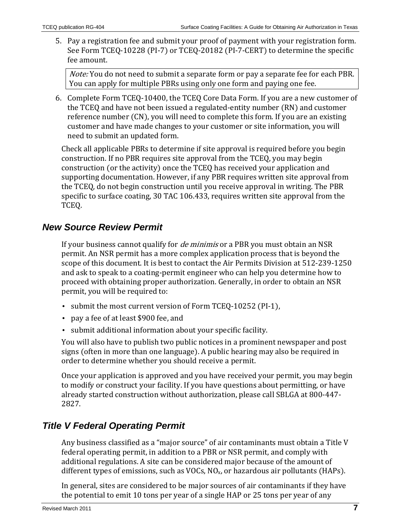5. Pay a registration fee and submit your proof of payment with your registration form. See Form [TCEQ-10228](http://www.tceq.state.tx.us/assets/public/permitting/air/Forms/PermitsByRule/10228.pdf) (PI-7) or [TCEQ-20182](http://www.tceq.state.tx.us/assets/public/permitting/air/Forms/PermitsByRule/20182.pdf) (PI-7-CERT) to determine the specific fee amount.

Note: You do not need to submit a separate form or pay a separate fee for each PBR. You can apply for multiple PBRs using only one form and paying one fee.

6. Complete Form [TCEQ-10400,](http://www.tceq.state.tx.us/assets/public/permitting/centralregistry/10400.pdf) the TCEQ Core Data Form. If you are a new customer of the TCEQ and have not been issued a regulated-entity number (RN) and customer reference number (CN), you will need to complete this form. If you are an existing customer and have made changes to your customer or site information, you will need to submit an updated form.

Check all applicable PBRs to determine if site approval is required before you begin construction. If no PBR requires site approval from the TCEQ, you may begin construction (or the activity) once the TCEQ has received your application and supporting documentation. However, if any PBR requires written site approval from the TCEQ, do not begin construction until you receive approval in writing. The PBR specific to surface coating, [30 TAC 106.433,](http://info.sos.state.tx.us/pls/pub/readtac$ext.TacPage?sl=R&app=9&p_dir=&p_rloc=&p_tloc=&p_ploc=&pg=1&p_tac=&ti=30&pt=1&ch=106&rl=433) requires written site approval from the TCEQ.

### <span id="page-6-0"></span>*New Source Review Permit*

If your business cannot qualify for *de minimis* or a PBR you must obtain an NSR permit. An NSR permit has a more complex application process that is beyond the scope of this document. It is best to contact the Air Permits Division at 512-239-1250 and ask to speak to a coating-permit engineer who can help you determine how to proceed with obtaining proper authorization. Generally, in order to obtain an NSR permit, you will be required to:

- submit the most current version of Form [TCEQ-10252](http://www.tceq.state.tx.us/assets/public/permitting/air/Forms/NewSourceReview/10252.pdf) (PI-1),
- pay a fee of at least \$900 fee, and
- submit additional information about your specific facility.

You will also have to publish two public notices in a prominent newspaper and post signs (often in more than one language). A public hearing may also be required in order to determine whether you should receive a permit.

Once your application is approved and you have received your permit, you may begin to modify or construct your facility. If you have questions about permitting, or have already started construction without authorization, please call SBLGA at 800-447- 2827.

# <span id="page-6-1"></span>*Title V Federal Operating Permit*

Any business classified as a "major source" of air contaminants must obtain a Title V federal operating permit, in addition to a PBR or NSR permit, and comply with additional regulations. A site can be considered major because of the amount of different types of emissions, such as VOCs,  $NO<sub>x</sub>$ , or hazardous air pollutants (HAPs).

In general, sites are considered to be major sources of air contaminants if they have the potential to emit 10 tons per year of a single HAP or 25 tons per year of any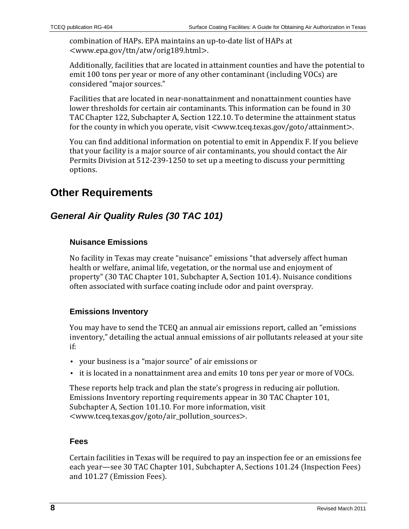combination of HAPs. EPA maintains an up-to-date list of HAPs at <www.epa.gov/ttn/atw/orig189.html>.

Additionally, facilities that are located in attainment counties and have the potential to emit 100 tons per year or more of any other contaminant (including VOCs) are considered "major sources."

Facilities that are located in near-nonattainment and nonattainment counties have lower thresholds for certain air contaminants. This information can be found in 30 TAC Chapter 122, Subchapter A, Section 122.10. To determine the attainment status for the county in which you operate, visit [<www.tceq.texas.gov/goto/attainment>](http://www.tceq.texas.gov/goto/attainment).

You can find additional information on potential to emit in Appendix F. If you believe that your facility is a major source of air contaminants, you should contact the Air Permits Division at 512-239-1250 to set up a meeting to discuss your permitting options.

# <span id="page-7-0"></span>**Other Requirements**

# <span id="page-7-1"></span>*General Air Quality Rules [\(30 TAC 101\)](http://info.sos.state.tx.us/pls/pub/readtac$ext.ViewTAC?tac_view=4&ti=30&pt=1&ch=101)*

#### **Nuisance Emissions**

No facility in Texas may create "nuisance" emissions "that adversely affect human health or welfare, animal life, vegetation, or the normal use and enjoyment of property" [\(30 TAC Chapter 101, Subchapter A, Section 101.4\)](http://info.sos.state.tx.us/pls/pub/readtac$ext.TacPage?sl=R&app=9&p_dir=&p_rloc=&p_tloc=&p_ploc=&pg=1&p_tac=&ti=30&pt=1&ch=101&rl=4). Nuisance conditions often associated with surface coating include odor and paint overspray.

#### **Emissions Inventory**

You may have to send the TCEQ an annual air emissions report, called an "emissions inventory," detailing the actual annual emissions of air pollutants released at your site if:

- your business is a "major source" of air emissions or
- it is located in a nonattainment area and emits 10 tons per year or more of VOCs.

These reports help track and plan the state's progress in reducing air pollution. Emissions Inventory reporting requirements appear in [30 TAC Chapter 101,](http://info.sos.state.tx.us/pls/pub/readtac$ext.TacPage?sl=R&app=9&p_dir=&p_rloc=&p_tloc=&p_ploc=&pg=1&p_tac=&ti=30&pt=1&ch=101&rl=10)  [Subchapter A, Section 101.10.](http://info.sos.state.tx.us/pls/pub/readtac$ext.TacPage?sl=R&app=9&p_dir=&p_rloc=&p_tloc=&p_ploc=&pg=1&p_tac=&ti=30&pt=1&ch=101&rl=10) For more information, visit [<www.tceq.texas.gov/goto/air\\_pollution\\_sources>](http://www.tceq.texas.gov/goto/air_pollution_sources).

#### **Fees**

Certain facilities in Texas will be required to pay an inspection fee or an emissions fee each year—see [30 TAC Chapter 101, Subchapter A, Sections 101.24](http://info.sos.state.tx.us/pls/pub/readtac$ext.TacPage?sl=R&app=9&p_dir=&p_rloc=&p_tloc=&p_ploc=&pg=1&p_tac=&ti=30&pt=1&ch=101&rl=24) (Inspection Fees) and [101.27](http://info.sos.state.tx.us/pls/pub/readtac$ext.TacPage?sl=R&app=9&p_dir=&p_rloc=&p_tloc=&p_ploc=&pg=1&p_tac=&ti=30&pt=1&ch=101&rl=27) (Emission Fees).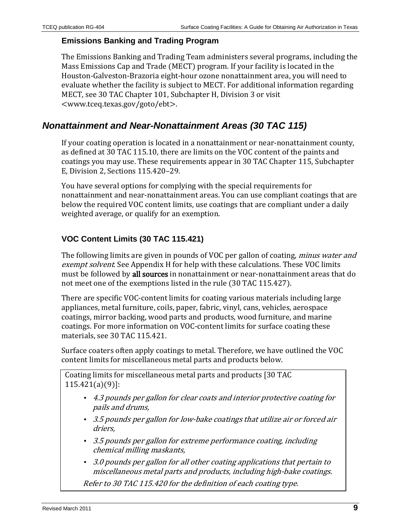#### **Emissions Banking and Trading Program**

The Emissions Banking and Trading Team administers several programs, including the Mass Emissions Cap and Trade (MECT) program. If your facility is located in the Houston-Galveston-Brazoria eight-hour ozone nonattainment area, you will need to evaluate whether the facility is subject to MECT. For additional information regarding MECT, see [30 TAC Chapter 101, Subchapter H, Division 3](http://info.sos.state.tx.us/pls/pub/readtac$ext.ViewTAC?tac_view=5&ti=30&pt=1&ch=101&sch=H&div=3&rl=Y) or visit [<www.tceq.texas.gov/goto/ebt>](http://www.tceq.texas.gov/goto/ebt).

### <span id="page-8-0"></span>*Nonattainment and Near-Nonattainment Areas [\(30 TAC 115\)](http://info.sos.state.tx.us/pls/pub/readtac$ext.ViewTAC?tac_view=4&ti=30&pt=1&ch=115)*

If your coating operation is located in a nonattainment or near-nonattainment county, as defined a[t 30 TAC 115.10,](http://info.sos.state.tx.us/pls/pub/readtac$ext.TacPage?sl=R&app=9&p_dir=&p_rloc=&p_tloc=&p_ploc=&pg=1&p_tac=&ti=30&pt=1&ch=115&rl=10) there are limits on the VOC content of the paints and coatings you may use. These requirements appear in [30 TAC Chapter 115, Subchapter](http://info.sos.state.tx.us/pls/pub/readtac$ext.ViewTAC?tac_view=5&ti=30&pt=1&ch=115&sch=E&div=2&rl=Y)  [E, Division 2, Sections 115.420–29.](http://info.sos.state.tx.us/pls/pub/readtac$ext.ViewTAC?tac_view=5&ti=30&pt=1&ch=115&sch=E&div=2&rl=Y)

You have several options for complying with the special requirements for nonattainment and near-nonattainment areas. You can use compliant coatings that are below the required VOC content limits, use coatings that are compliant under a daily weighted average, or qualify for an exemption.

#### **VOC Content Limits [\(30 TAC 115.421\)](http://info.sos.state.tx.us/pls/pub/readtac$ext.TacPage?sl=R&app=9&p_dir=&p_rloc=&p_tloc=&p_ploc=&pg=1&p_tac=&ti=30&pt=1&ch=115&rl=421)**

The following limits are given in pounds of VOC per gallon of coating, minus water and exempt solvent. See Appendix H for help with these calculations. These VOC limits must be followed by all sources in nonattainment or near-nonattainment areas that do not meet one of the exemptions listed in the rule [\(30 TAC 115.427\)](http://info.sos.state.tx.us/pls/pub/readtac$ext.TacPage?sl=R&app=9&p_dir=&p_rloc=&p_tloc=&p_ploc=&pg=1&p_tac=&ti=30&pt=1&ch=115&rl=427).

There are specific VOC-content limits for coating various materials including large appliances, metal furniture, coils, paper, fabric, vinyl, cans, vehicles, aerospace coatings, mirror backing, wood parts and products, wood furniture, and marine coatings. For more information on VOC-content limits for surface coating these materials, see [30 TAC 115.421.](http://info.sos.state.tx.us/pls/pub/readtac$ext.TacPage?sl=R&app=9&p_dir=&p_rloc=&p_tloc=&p_ploc=&pg=1&p_tac=&ti=30&pt=1&ch=115&rl=421) 

Surface coaters often apply coatings to metal. Therefore, we have outlined the VOC content limits for miscellaneous metal parts and products below.

Coating limits for miscellaneous metal parts and products [\[30 TAC](http://info.sos.state.tx.us/pls/pub/readtac$ext.TacPage?sl=R&app=9&p_dir=&p_rloc=&p_tloc=&p_ploc=&pg=1&p_tac=&ti=30&pt=1&ch=115&rl=421)  [115.421\(a\)\(9\)\]](http://info.sos.state.tx.us/pls/pub/readtac$ext.TacPage?sl=R&app=9&p_dir=&p_rloc=&p_tloc=&p_ploc=&pg=1&p_tac=&ti=30&pt=1&ch=115&rl=421):

- 4.3 pounds per gallon for clear coats and interior protective coating for pails and drums,
- 3.5 pounds per gallon for low-bake coatings that utilize air or forced air driers,
- 3.5 pounds per gallon for extreme performance coating, including chemical milling maskants,
- 3.0 pounds per gallon for all other coating applications that pertain to miscellaneous metal parts and products, including high-bake coatings.

Refer t[o 30 TAC 115.420](http://info.sos.state.tx.us/pls/pub/readtac$ext.TacPage?sl=R&app=9&p_dir=&p_rloc=&p_tloc=&p_ploc=&pg=1&p_tac=&ti=30&pt=1&ch=115&rl=420) for the definition of each coating type.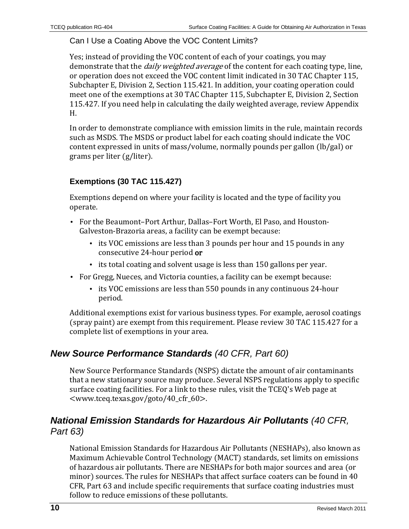#### Can I Use a Coating Above the VOC Content Limits?

Yes; instead of providing the VOC content of each of your coatings, you may demonstrate that the *daily weighted average* of the content for each coating type, line, or operation does not exceed the VOC content limit indicated i[n 30 TAC Chapter 115,](http://info.sos.state.tx.us/pls/pub/readtac$ext.TacPage?sl=R&app=9&p_dir=&p_rloc=&p_tloc=&p_ploc=&pg=1&p_tac=&ti=30&pt=1&ch=115&rl=421)  [Subchapter E, Division 2, Section 115.421.](http://info.sos.state.tx.us/pls/pub/readtac$ext.TacPage?sl=R&app=9&p_dir=&p_rloc=&p_tloc=&p_ploc=&pg=1&p_tac=&ti=30&pt=1&ch=115&rl=421) In addition, your coating operation could meet one of the exemptions at [30 TAC Chapter 115, Subchapter E, Division 2, Section](http://info.sos.state.tx.us/pls/pub/readtac$ext.TacPage?sl=R&app=9&p_dir=&p_rloc=&p_tloc=&p_ploc=&pg=1&p_tac=&ti=30&pt=1&ch=115&rl=427)  [115.427.](http://info.sos.state.tx.us/pls/pub/readtac$ext.TacPage?sl=R&app=9&p_dir=&p_rloc=&p_tloc=&p_ploc=&pg=1&p_tac=&ti=30&pt=1&ch=115&rl=427) If you need help in calculating the daily weighted average, review Appendix H.

In order to demonstrate compliance with emission limits in the rule, maintain records such as MSDS. The MSDS or product label for each coating should indicate the VOC content expressed in units of mass/volume, normally pounds per gallon (lb/gal) or grams per liter (g/liter).

#### **Exemptions [\(30 TAC 115.427\)](http://info.sos.state.tx.us/pls/pub/readtac$ext.TacPage?sl=R&app=9&p_dir=&p_rloc=&p_tloc=&p_ploc=&pg=1&p_tac=&ti=30&pt=1&ch=115&rl=427)**

Exemptions depend on where your facility is located and the type of facility you operate.

- For the Beaumont–Port Arthur, Dallas–Fort Worth, El Paso, and Houston-Galveston-Brazoria areas, a facility can be exempt because:
	- its VOC emissions are less than 3 pounds per hour and 15 pounds in any consecutive 24-hour period or
	- its total coating and solvent usage is less than 150 gallons per year.
- For Gregg, Nueces, and Victoria counties, a facility can be exempt because:
	- its VOC emissions are less than 550 pounds in any continuous 24-hour period.

Additional exemptions exist for various business types. For example, aerosol coatings (spray paint) are exempt from this requirement. Please review 30 [TAC 115.427](http://info.sos.state.tx.us/pls/pub/readtac$ext.TacPage?sl=R&app=9&p_dir=&p_rloc=&p_tloc=&p_ploc=&pg=1&p_tac=&ti=30&pt=1&ch=115&rl=427) for a complete list of exemptions in your area.

### <span id="page-9-0"></span>*New Source Performance Standards [\(40 CFR, Part 60\)](http://www.tceq.state.tx.us/permitting/air/rules/federal/60/60hmpg.html)*

New Source Performance Standards (NSPS) dictate the amount of air contaminants that a new stationary source may produce. Several NSPS regulations apply to specific surface coating facilities. For a link to these rules, visit the TCEQ's Web page at [<www.tceq.texas.gov/goto/40\\_cfr\\_60>](http://www.tceq.texas.gov/goto/40_cfr_60).

### <span id="page-9-1"></span>*National Emission Standards for Hazardous Air Pollutants [\(40 CFR,](http://www.tceq.state.tx.us/permitting/air/rules/federal/63/63hmpg.html)  [Part 63\)](http://www.tceq.state.tx.us/permitting/air/rules/federal/63/63hmpg.html)*

National Emission Standards for Hazardous Air Pollutants (NESHAPs), also known as Maximum Achievable Control Technology (MACT) standards, set limits on emissions of hazardous air pollutants. There are NESHAPs for both major sources and area (or minor) sources. The rules for NESHAPs that affect surface coaters can be found in [40](http://www.tceq.state.tx.us/permitting/air/rules/federal/63/63hmpg.html)  [CFR, Part 63](http://www.tceq.state.tx.us/permitting/air/rules/federal/63/63hmpg.html) and include specific requirements that surface coating industries must follow to reduce emissions of these pollutants.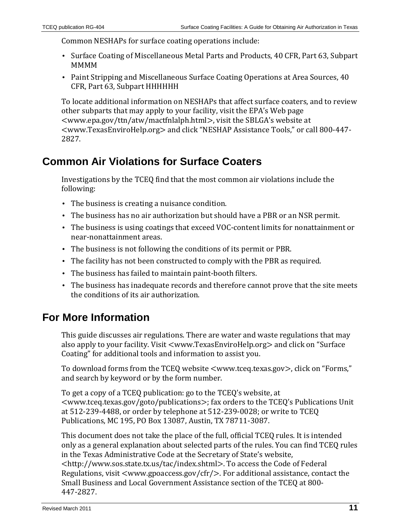Common NESHAPs for surface coating operations include:

- Surface Coating of Miscellaneous Metal Parts and Products, [40 CFR, Part 63, Subpart](http://ecfr.gpoaccess.gov/cgi/t/text/text-idx?c=ecfr&sid=ff2846d70a9b1e68603ced4a15531ea0&rgn=div6&view=text&node=40:12.0.1.1.1.19&idno=40)  [MMMM](http://ecfr.gpoaccess.gov/cgi/t/text/text-idx?c=ecfr&sid=ff2846d70a9b1e68603ced4a15531ea0&rgn=div6&view=text&node=40:12.0.1.1.1.19&idno=40)
- Paint Stripping and Miscellaneous Surface Coating Operations at Area Sources, [40](http://ecfr.gpoaccess.gov/cgi/t/text/text-idx?c=ecfr;rgn=div6;view=text;node=40%3A14.0.1.1.1.20;idno=40;sid=456ecacb0d35e23036930445de0f2a3d;cc=ecfr)  [CFR, Part 63, Subpart HHHHHH](http://ecfr.gpoaccess.gov/cgi/t/text/text-idx?c=ecfr;rgn=div6;view=text;node=40%3A14.0.1.1.1.20;idno=40;sid=456ecacb0d35e23036930445de0f2a3d;cc=ecfr)

To locate additional information on NESHAPs that affect surface coaters, and to review other subparts that may apply to your facility, visit the EPA's Web page [<www.epa.gov/ttn/atw/mactfnlalph.html>](http://www.epa.gov/ttn/atw/mactfnlalph.html), visit the SBLGA's website at [<www.TexasEnviroHelp.org>](http://www.texasenvirohelp.org/) and click "NESHAP Assistance Tools," or call 800-447- 2827.

# <span id="page-10-0"></span>**Common Air Violations for Surface Coaters**

Investigations by the TCEQ find that the most common air violations include the following:

- The business is creating a nuisance condition.
- The business has no air authorization but should have a PBR or an NSR permit.
- The business is using coatings that exceed VOC-content limits for nonattainment or near-nonattainment areas.
- The business is not following the conditions of its permit or PBR.
- The facility has not been constructed to comply with the PBR as required.
- The business has failed to maintain paint-booth filters.
- The business has inadequate records and therefore cannot prove that the site meets the conditions of its air authorization.

# <span id="page-10-1"></span>**For More Information**

This guide discusses air regulations. There are water and waste regulations that may also apply to your facility. Visit [<www.TexasEnviroHelp.org>](http://www.texasenvirohelp.org/) and click on "Surface Coating" for additional tools and information to assist you.

To download forms from the TCEQ website [<www.tceq.texas.gov>](http://www.tceq.texas.gov/), click on "Forms," and search by keyword or by the form number.

To get a copy of a TCEQ publication: go to the TCEQ's website, at [<www.tceq.texas.gov/goto/publications>](http://www.tceq.texas.gov/goto/publications); fax orders to the TCEQ's Publications Unit at 512-239-4488, or order by telephone at 512-239-0028; or write to TCEQ Publications, MC 195, PO Box 13087, Austin, TX 78711-3087.

This document does not take the place of the full, official TCEQ rules. It is intended only as a general explanation about selected parts of the rules. You can find TCEQ rules in the Texas Administrative Code at the Secretary of State's website, [<http://www.sos.state.tx.us/tac/index.shtml>](http://www.sos.state.tx.us/tac/index.shtml). To access the Code of Federal Regulations, visit <www.gpoaccess.gov/cfr/>. For additional assistance, contact the Small Business and Local Government Assistance section of the TCEQ at 800- 447-2827.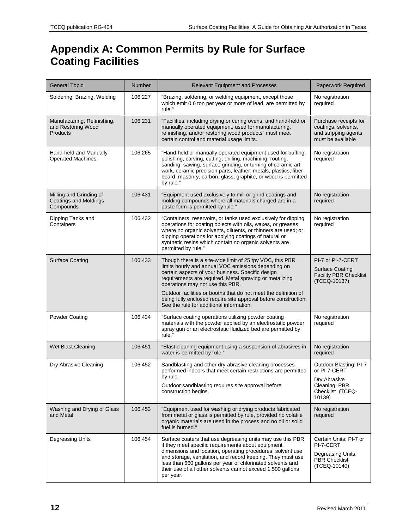# <span id="page-11-0"></span>**Appendix A: Common Permits by Rule for Surface Coating Facilities**

| <b>General Topic</b>                                                 | <b>Number</b> | <b>Relevant Equipment and Processes</b>                                                                                                                                                                                                                                                                                                                                                                                                                | Paperwork Required                                                                                    |
|----------------------------------------------------------------------|---------------|--------------------------------------------------------------------------------------------------------------------------------------------------------------------------------------------------------------------------------------------------------------------------------------------------------------------------------------------------------------------------------------------------------------------------------------------------------|-------------------------------------------------------------------------------------------------------|
| Soldering, Brazing, Welding                                          | 106.227       | "Brazing, soldering, or welding equipment, except those<br>which emit 0.6 ton per year or more of lead, are permitted by<br>rule."                                                                                                                                                                                                                                                                                                                     | No registration<br>required                                                                           |
| Manufacturing, Refinishing,<br>and Restoring Wood<br><b>Products</b> | 106.231       | "Facilities, including drying or curing ovens, and hand-held or<br>manually operated equipment, used for manufacturing,<br>refinishing, and/or restoring wood products" must meet<br>certain control and material usage limits.                                                                                                                                                                                                                        | Purchase receipts for<br>coatings, solvents,<br>and stripping agents<br>must be available             |
| Hand-held and Manually<br><b>Operated Machines</b>                   | 106.265       | "Hand-held or manually operated equipment used for buffing,<br>polishing, carving, cutting, drilling, machining, routing,<br>sanding, sawing, surface grinding, or turning of ceramic art<br>work, ceramic precision parts, leather, metals, plastics, fiber<br>board, masonry, carbon, glass, graphite, or wood is permitted<br>by rule."                                                                                                             | No registration<br>required                                                                           |
| Milling and Grinding of<br><b>Coatings and Moldings</b><br>Compounds | 106.431       | "Equipment used exclusively to mill or grind coatings and<br>molding compounds where all materials charged are in a<br>paste form is permitted by rule."                                                                                                                                                                                                                                                                                               | No registration<br>required                                                                           |
| Dipping Tanks and<br>Containers                                      | 106.432       | "Containers, reservoirs, or tanks used exclusively for dipping<br>operations for coating objects with oils, waxes, or greases<br>where no organic solvents, diluents, or thinners are used; or<br>dipping operations for applying coatings of natural or<br>synthetic resins which contain no organic solvents are<br>permitted by rule."                                                                                                              | No registration<br>required                                                                           |
| <b>Surface Coating</b>                                               | 106.433       | Though there is a site-wide limit of 25 tpy VOC, this PBR<br>limits hourly and annual VOC emissions depending on<br>certain aspects of your business. Specific design<br>requirements are required. Metal spraying or metalizing<br>operations may not use this PBR.<br>Outdoor facilities or booths that do not meet the definition of<br>being fully enclosed require site approval before construction.<br>See the rule for additional information. | PI-7 or PI-7-CERT<br><b>Surface Coating</b><br><b>Facility PBR Checklist</b><br>(TCEQ-10137)          |
| <b>Powder Coating</b>                                                | 106.434       | "Surface coating operations utilizing powder coating<br>materials with the powder applied by an electrostatic powder<br>spray gun or an electrostatic fluidized bed are permitted by<br>rule."                                                                                                                                                                                                                                                         | No registration<br>required                                                                           |
| Wet Blast Cleaning                                                   | 106.451       | "Blast cleaning equipment using a suspension of abrasives in<br>water is permitted by rule."                                                                                                                                                                                                                                                                                                                                                           | No registration<br>required                                                                           |
| Dry Abrasive Cleaning                                                | 106.452       | Sandblasting and other dry-abrasive cleaning processes<br>performed indoors that meet certain restrictions are permitted<br>by rule.<br>Outdoor sandblasting requires site approval before<br>construction begins.                                                                                                                                                                                                                                     | Outdoor Blasting: PI-7<br>or PI-7-CERT<br>Dry Abrasive<br>Cleaning: PBR<br>Checklist (TCEQ-<br>10139) |
| Washing and Drying of Glass<br>and Metal                             | 106.453       | "Equipment used for washing or drying products fabricated<br>from metal or glass is permitted by rule, provided no volatile<br>organic materials are used in the process and no oil or solid<br>fuel is burned."                                                                                                                                                                                                                                       | No registration<br>required                                                                           |
| <b>Degreasing Units</b>                                              | 106.454       | Surface coaters that use degreasing units may use this PBR<br>if they meet specific requirements about equipment<br>dimensions and location, operating procedures, solvent use<br>and storage, ventilation, and record keeping. They must use<br>less than 660 gallons per year of chlorinated solvents and<br>their use of all other solvents cannot exceed 1,500 gallons<br>per year.                                                                | Certain Units: PI-7 or<br>PI-7-CERT<br>Degreasing Units:<br><b>PBR</b> Checklist<br>(TCEQ-10140)      |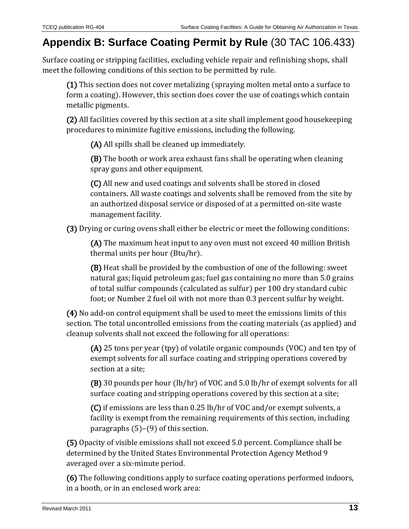# <span id="page-12-0"></span>**Appendix B: Surface Coating Permit by Rule** [\(30 TAC 106.433\)](http://info.sos.state.tx.us/pls/pub/readtac$ext.TacPage?sl=R&app=9&p_dir=&p_rloc=&p_tloc=&p_ploc=&pg=1&p_tac=&ti=30&pt=1&ch=106&rl=433)

Surface coating or stripping facilities, excluding vehicle repair and refinishing shops, shall meet the following conditions of this section to be permitted by rule.

(1) This section does not cover metalizing (spraying molten metal onto a surface to form a coating). However, this section does cover the use of coatings which contain metallic pigments.

(2) All facilities covered by this section at a site shall implement good housekeeping procedures to minimize fugitive emissions, including the following.

(A) All spills shall be cleaned up immediately.

(B) The booth or work area exhaust fans shall be operating when cleaning spray guns and other equipment.

(C) All new and used coatings and solvents shall be stored in closed containers. All waste coatings and solvents shall be removed from the site by an authorized disposal service or disposed of at a permitted on-site waste management facility.

(3) Drying or curing ovens shall either be electric or meet the following conditions:

(A) The maximum heat input to any oven must not exceed 40 million British thermal units per hour (Btu/hr).

(B) Heat shall be provided by the combustion of one of the following: sweet natural gas; liquid petroleum gas; fuel gas containing no more than 5.0 grains of total sulfur compounds (calculated as sulfur) per 100 dry standard cubic foot; or Number 2 fuel oil with not more than 0.3 percent sulfur by weight.

(4) No add-on control equipment shall be used to meet the emissions limits of this section. The total uncontrolled emissions from the coating materials (as applied) and cleanup solvents shall not exceed the following for all operations:

(A) 25 tons per year (tpy) of volatile organic compounds (VOC) and ten tpy of exempt solvents for all surface coating and stripping operations covered by section at a site;

(B) 30 pounds per hour (lb/hr) of VOC and 5.0 lb/hr of exempt solvents for all surface coating and stripping operations covered by this section at a site;

(C) if emissions are less than 0.25 lb/hr of VOC and/or exempt solvents, a facility is exempt from the remaining requirements of this section, including paragraphs  $(5)-(9)$  of this section.

(5) Opacity of visible emissions shall not exceed 5.0 percent. Compliance shall be determined by the United States Environmental Protection Agency Method 9 averaged over a six-minute period.

(6) The following conditions apply to surface coating operations performed indoors, in a booth, or in an enclosed work area: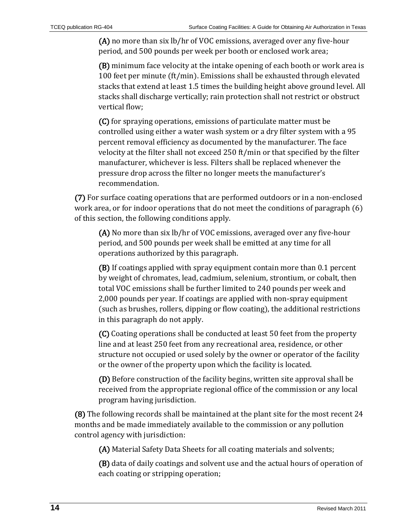(A) no more than six lb/hr of VOC emissions, averaged over any five-hour period, and 500 pounds per week per booth or enclosed work area;

(B) minimum face velocity at the intake opening of each booth or work area is 100 feet per minute (ft/min). Emissions shall be exhausted through elevated stacks that extend at least 1.5 times the building height above ground level. All stacks shall discharge vertically; rain protection shall not restrict or obstruct vertical flow;

(C) for spraying operations, emissions of particulate matter must be controlled using either a water wash system or a dry filter system with a 95 percent removal efficiency as documented by the manufacturer. The face velocity at the filter shall not exceed 250 ft/min or that specified by the filter manufacturer, whichever is less. Filters shall be replaced whenever the pressure drop across the filter no longer meets the manufacturer's recommendation.

(7) For surface coating operations that are performed outdoors or in a non-enclosed work area, or for indoor operations that do not meet the conditions of paragraph (6) of this section, the following conditions apply.

(A) No more than six lb/hr of VOC emissions, averaged over any five-hour period, and 500 pounds per week shall be emitted at any time for all operations authorized by this paragraph.

(B) If coatings applied with spray equipment contain more than 0.1 percent by weight of chromates, lead, cadmium, selenium, strontium, or cobalt, then total VOC emissions shall be further limited to 240 pounds per week and 2,000 pounds per year. If coatings are applied with non-spray equipment (such as brushes, rollers, dipping or flow coating), the additional restrictions in this paragraph do not apply.

(C) Coating operations shall be conducted at least 50 feet from the property line and at least 250 feet from any recreational area, residence, or other structure not occupied or used solely by the owner or operator of the facility or the owner of the property upon which the facility is located.

(D) Before construction of the facility begins, written site approval shall be received from the appropriate regional office of the commission or any local program having jurisdiction.

(8) The following records shall be maintained at the plant site for the most recent 24 months and be made immediately available to the commission or any pollution control agency with jurisdiction:

(A) Material Safety Data Sheets for all coating materials and solvents;

(B) data of daily coatings and solvent use and the actual hours of operation of each coating or stripping operation;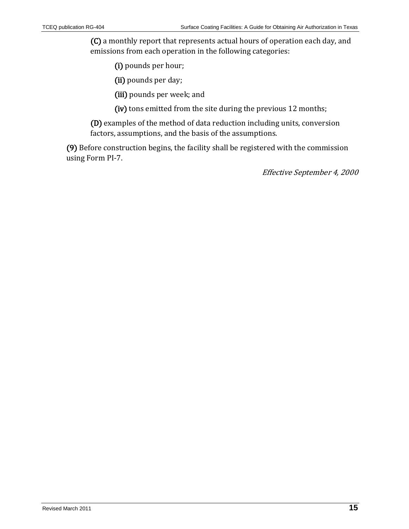(C) a monthly report that represents actual hours of operation each day, and emissions from each operation in the following categories:

(i) pounds per hour;

(ii) pounds per day;

(iii) pounds per week; and

(iv) tons emitted from the site during the previous 12 months;

(D) examples of the method of data reduction including units, conversion factors, assumptions, and the basis of the assumptions.

<span id="page-14-0"></span>(9) Before construction begins, the facility shall be registered with the commission using Form PI-7.

Effective September 4, 2000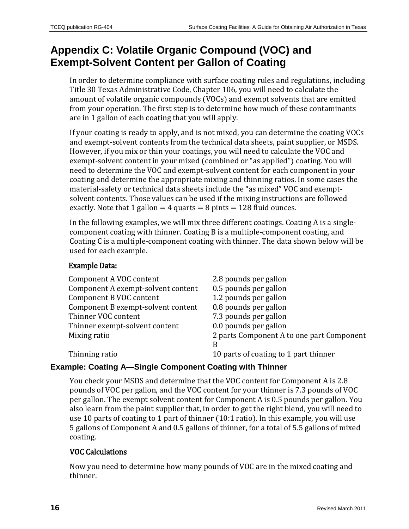# **Appendix C: Volatile Organic Compound (VOC) and Exempt-Solvent Content per Gallon of Coating**

In order to determine compliance with surface coating rules and regulations, including Title 30 Texas Administrative Code, Chapter 106, you will need to calculate the amount of volatile organic compounds (VOCs) and exempt solvents that are emitted from your operation. The first step is to determine how much of these contaminants are in 1 gallon of each coating that you will apply.

If your coating is ready to apply, and is not mixed, you can determine the coating VOCs and exempt-solvent contents from the technical data sheets, paint supplier, or MSDS. However, if you mix or thin your coatings, you will need to calculate the VOC and exempt-solvent content in your mixed (combined or "as applied") coating. You will need to determine the VOC and exempt-solvent content for each component in your coating and determine the appropriate mixing and thinning ratios. In some cases the material-safety or technical data sheets include the "as mixed" VOC and exemptsolvent contents. Those values can be used if the mixing instructions are followed exactly. Note that 1 gallon  $=$  4 quarts  $=$  8 pints  $=$  128 fluid ounces.

In the following examples, we will mix three different coatings. Coating A is a singlecomponent coating with thinner. Coating B is a multiple-component coating, and Coating C is a multiple-component coating with thinner. The data shown below will be used for each example.

#### Example Data:

| 2.8 pounds per gallon                     |
|-------------------------------------------|
| 0.5 pounds per gallon                     |
| 1.2 pounds per gallon                     |
| 0.8 pounds per gallon                     |
| 7.3 pounds per gallon                     |
| 0.0 pounds per gallon                     |
| 2 parts Component A to one part Component |
| B                                         |
| 10 parts of coating to 1 part thinner     |
|                                           |

#### **Example: Coating A—Single Component Coating with Thinner**

You check your MSDS and determine that the VOC content for Component A is 2.8 pounds of VOC per gallon, and the VOC content for your thinner is 7.3 pounds of VOC per gallon. The exempt solvent content for Component A is 0.5 pounds per gallon. You also learn from the paint supplier that, in order to get the right blend, you will need to use 10 parts of coating to 1 part of thinner (10:1 ratio). In this example, you will use 5 gallons of Component A and 0.5 gallons of thinner, for a total of 5.5 gallons of mixed coating.

#### VOC Calculations

Now you need to determine how many pounds of VOC are in the mixed coating and thinner.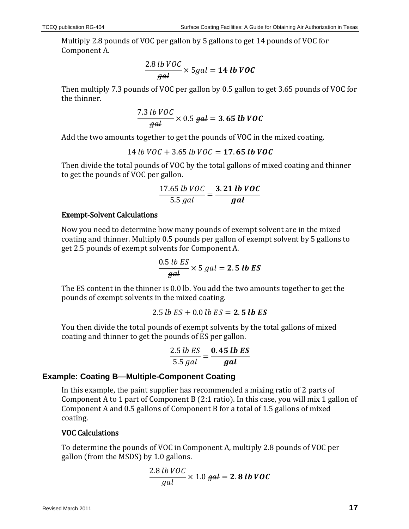Multiply 2.8 pounds of VOC per gallon by 5 gallons to get 14 pounds of VOC for Component A.

$$
\frac{2.8 \text{ lb } VOC}{gal} \times 5 \text{ gal} = 14 \text{ lb } VOC
$$

Then multiply 7.3 pounds of VOC per gallon by 0.5 gallon to get 3.65 pounds of VOC for the thinner.

$$
\frac{7.3 \text{ lb } VOC}{gal} \times 0.5 \text{ gal} = 3.65 \text{ lb } VOC
$$

Add the two amounts together to get the pounds of VOC in the mixed coating.

$$
14 lb VOC + 3.65 lb VOC = 17.65 lb VOC
$$

Then divide the total pounds of VOC by the total gallons of mixed coating and thinner to get the pounds of VOC per gallon.

$$
\frac{17.65 \text{ lb } VOC}{5.5 \text{ gal}} = \frac{3.21 \text{ lb } VOC}{\text{gal}}
$$

#### Exempt-Solvent Calculations

Now you need to determine how many pounds of exempt solvent are in the mixed coating and thinner. Multiply 0.5 pounds per gallon of exempt solvent by 5 gallons to get 2.5 pounds of exempt solvents for Component A.

$$
\frac{0.5 \; lb \; ES}{gal} \times 5 \; gal = 2.5 \; lb \; ES
$$

The ES content in the thinner is 0.0 lb. You add the two amounts together to get the pounds of exempt solvents in the mixed coating.

$$
2.5 \; lb \; ES + 0.0 \; lb \; ES = 2.5 \; lb \; ES
$$

You then divide the total pounds of exempt solvents by the total gallons of mixed coating and thinner to get the pounds of ES per gallon.

$$
\frac{2.5 \text{ lb } ES}{5.5 \text{ gal}} = \frac{0.45 \text{ lb } ES}{\text{gal}}
$$

#### **Example: Coating B—Multiple-Component Coating**

In this example, the paint supplier has recommended a mixing ratio of 2 parts of Component A to 1 part of Component B (2:1 ratio). In this case, you will mix 1 gallon of Component A and 0.5 gallons of Component B for a total of 1.5 gallons of mixed coating.

#### VOC Calculations

To determine the pounds of VOC in Component A, multiply 2.8 pounds of VOC per gallon (from the MSDS) by 1.0 gallons.

$$
\frac{2.8 \text{ lb } VOC}{gal} \times 1.0 \text{ gal} = 2.8 \text{ lb } VOC
$$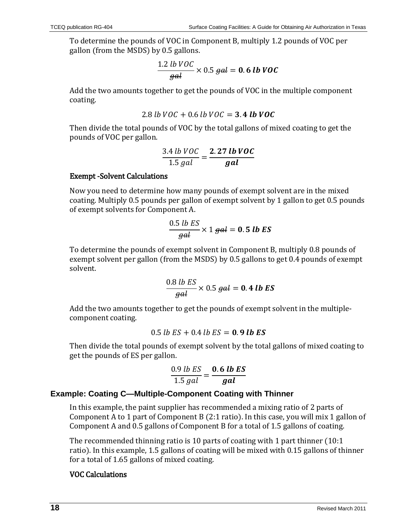To determine the pounds of VOC in Component B, multiply 1.2 pounds of VOC per gallon (from the MSDS) by 0.5 gallons.

$$
\frac{1.2 \, lb \, VOC}{gal} \times 0.5 \, gal = 0.6 \, lb \, VOC
$$

Add the two amounts together to get the pounds of VOC in the multiple component coating.

$$
2.8 \, lb \, VOC + 0.6 \, lb \, VOC = 3.4 \, lb \, VOC
$$

Then divide the total pounds of VOC by the total gallons of mixed coating to get the pounds of VOC per gallon.

$$
\frac{3.4 \text{ lb } VOC}{1.5 \text{ gal}} = \frac{2.27 \text{ lb } VOC}{\text{gal}}
$$

#### Exempt -Solvent Calculations

Now you need to determine how many pounds of exempt solvent are in the mixed coating. Multiply 0.5 pounds per gallon of exempt solvent by 1 gallon to get 0.5 pounds of exempt solvents for Component A.

$$
\frac{0.5 \; lb \; ES}{gal} \times 1 \; gal = 0.5 \; lb \; ES
$$

To determine the pounds of exempt solvent in Component B, multiply 0.8 pounds of exempt solvent per gallon (from the MSDS) by 0.5 gallons to get 0.4 pounds of exempt solvent.

$$
\frac{0.8 \text{ lb } ES}{\text{gal}} \times 0.5 \text{ gal} = 0.4 \text{ lb } ES
$$

Add the two amounts together to get the pounds of exempt solvent in the multiplecomponent coating.

$$
0.5 \; lb \; ES + 0.4 \; lb \; ES = 0.9 \; lb \; ES
$$

Then divide the total pounds of exempt solvent by the total gallons of mixed coating to get the pounds of ES per gallon.

$$
\frac{0.9 \; lb \; ES}{1.5 \; gal} = \frac{\mathbf{0.6 \; lb \; ES}}{\mathbf{gal}}
$$

#### **Example: Coating C—Multiple-Component Coating with Thinner**

In this example, the paint supplier has recommended a mixing ratio of 2 parts of Component A to 1 part of Component B (2:1 ratio). In this case, you will mix 1 gallon of Component A and 0.5 gallons of Component B for a total of 1.5 gallons of coating.

The recommended thinning ratio is 10 parts of coating with 1 part thinner (10:1 ratio). In this example, 1.5 gallons of coating will be mixed with 0.15 gallons of thinner for a total of 1.65 gallons of mixed coating.

#### VOC Calculations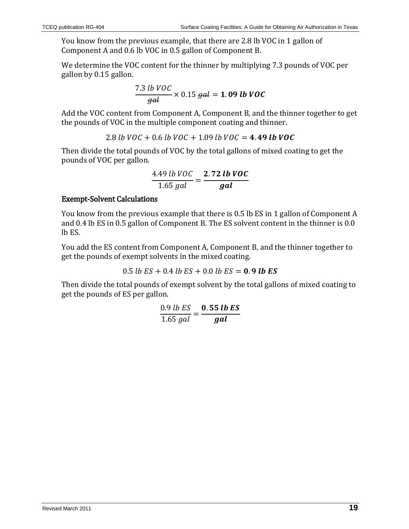You know from the previous example, that there are 2.8 lb VOC in 1 gallon of Component A and 0.6 lb VOC in 0.5 gallon of Component B.

We determine the VOC content for the thinner by multiplying 7.3 pounds of VOC per gallon by 0.15 gallon.

$$
\frac{7.3 \text{ lb } VOC}{gal} \times 0.15 \text{ gal} = 1.09 \text{ lb } VOC
$$

Add the VOC content from Component A, Component B, and the thinner together to get the pounds of VOC in the multiple component coating and thinner.

2.8 lb  $VOC + 0.6$  lb  $VOC + 1.09$  lb  $VOC = 4.49$  lb  $VOC$ 

Then divide the total pounds of VOC by the total gallons of mixed coating to get the pounds of VOC per gallon.

$$
\frac{4.49 \; lb \; VOC}{1.65 \; gal} = \frac{2.72 \; lb \; VOC}{gal}
$$

#### Exempt-Solvent Calculations

You know from the previous example that there is 0.5 lb ES in 1 gallon of Component A and 0.4 lb ES in 0.5 gallon of Component B. The ES solvent content in the thinner is 0.0 lb ES.

You add the ES content from Component A, Component B, and the thinner together to get the pounds of exempt solvents in the mixed coating.

0.5 *lb ES* + 0.4 *lb ES* + 0.0 *lb ES* = 0.9 *lb ES* 

Then divide the total pounds of exempt solvent by the total gallons of mixed coating to get the pounds of ES per gallon.

$$
\frac{0.9 \; lb \; ES}{1.65 \; gal} = \frac{\mathbf{0.55 \; lb \; ES}}{\mathbf{gal}}
$$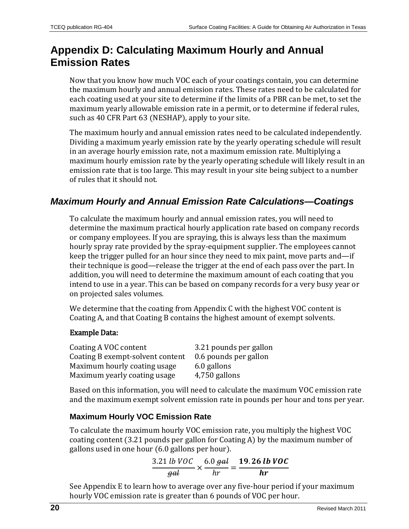# <span id="page-19-0"></span>**Appendix D: Calculating Maximum Hourly and Annual Emission Rates**

Now that you know how much VOC each of your coatings contain, you can determine the maximum hourly and annual emission rates. These rates need to be calculated for each coating used at your site to determine if the limits of a PBR can be met, to set the maximum yearly allowable emission rate in a permit, or to determine if federal rules, such as [40 CFR Part 63](http://www.tceq.state.tx.us/permitting/air/rules/federal/63/63hmpg.html) (NESHAP), apply to your site.

The maximum hourly and annual emission rates need to be calculated independently. Dividing a maximum yearly emission rate by the yearly operating schedule will result in an average hourly emission rate, not a maximum emission rate. Multiplying a maximum hourly emission rate by the yearly operating schedule will likely result in an emission rate that is too large. This may result in your site being subject to a number of rules that it should not.

### *Maximum Hourly and Annual Emission Rate Calculations—Coatings*

To calculate the maximum hourly and annual emission rates, you will need to determine the maximum practical hourly application rate based on company records or company employees. If you are spraying, this is always less than the maximum hourly spray rate provided by the spray-equipment supplier. The employees cannot keep the trigger pulled for an hour since they need to mix paint, move parts and—if their technique is good—release the trigger at the end of each pass over the part. In addition, you will need to determine the maximum amount of each coating that you intend to use in a year. This can be based on company records for a very busy year or on projected sales volumes.

We determine that the coating from Appendix C with the highest VOC content is Coating A, and that Coating B contains the highest amount of exempt solvents.

#### Example Data:

| Coating A VOC content            | 3.21 pounds per gallon |
|----------------------------------|------------------------|
| Coating B exempt-solvent content | 0.6 pounds per gallon  |
| Maximum hourly coating usage     | 6.0 gallons            |
| Maximum yearly coating usage     | 4,750 gallons          |

Based on this information, you will need to calculate the maximum VOC emission rate and the maximum exempt solvent emission rate in pounds per hour and tons per year.

#### **Maximum Hourly VOC Emission Rate**

To calculate the maximum hourly VOC emission rate, you multiply the highest VOC coating content (3.21 pounds per gallon for Coating A) by the maximum number of gallons used in one hour (6.0 gallons per hour).

$$
\frac{3.21 \text{ lb } VOC}{\text{gal}} \times \frac{6.0 \text{ gal}}{hr} = \frac{19.26 \text{ lb } VOC}{hr}
$$

See Appendix E to learn how to average over any five-hour period if your maximum hourly VOC emission rate is greater than 6 pounds of VOC per hour.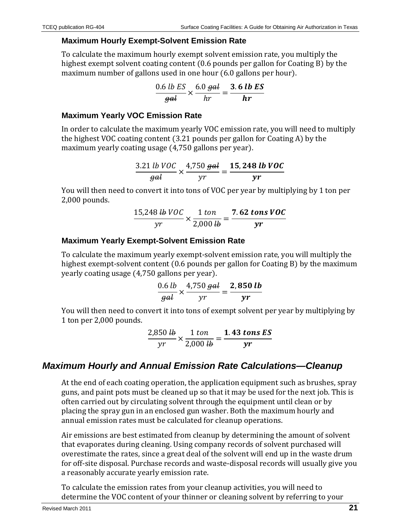#### **Maximum Hourly Exempt-Solvent Emission Rate**

To calculate the maximum hourly exempt solvent emission rate, you multiply the highest exempt solvent coating content (0.6 pounds per gallon for Coating B) by the maximum number of gallons used in one hour (6.0 gallons per hour).

$$
\frac{0.6 \text{ lb } ES}{\text{gal}} \times \frac{6.0 \text{ gal}}{hr} = \frac{3.6 \text{ lb } ES}{hr}
$$

#### **Maximum Yearly VOC Emission Rate**

In order to calculate the maximum yearly VOC emission rate, you will need to multiply the highest VOC coating content (3.21 pounds per gallon for Coating A) by the maximum yearly coating usage (4,750 gallons per year).

$$
\frac{3.21 \text{ lb } VOC}{gal} \times \frac{4,750 \text{ gal}}{yr} = \frac{15,248 \text{ lb } VOC}{yr}
$$

You will then need to convert it into tons of VOC per year by multiplying by 1 ton per 2,000 pounds.

$$
\frac{15,248 \text{ lb } VOC}{\text{yr}} \times \frac{1 \text{ ton}}{2,000 \text{ lb}} = \frac{7.62 \text{ tons } VOC}{\text{yr}}
$$

#### **Maximum Yearly Exempt-Solvent Emission Rate**

To calculate the maximum yearly exempt-solvent emission rate, you will multiply the highest exempt-solvent content (0.6 pounds per gallon for Coating B) by the maximum yearly coating usage (4,750 gallons per year).

$$
\frac{0.6 \; lb}{gal} \times \frac{4,750 \; gal}{yr} = \frac{2,850 \; lb}{yr}
$$

You will then need to convert it into tons of exempt solvent per year by multiplying by 1 ton per 2,000 pounds.

$$
\frac{2,850 \text{ lb}}{yr} \times \frac{1 \text{ ton}}{2,000 \text{ lb}} = \frac{1.43 \text{ tons ES}}{yr}
$$

### *Maximum Hourly and Annual Emission Rate Calculations—Cleanup*

At the end of each coating operation, the application equipment such as brushes, spray guns, and paint pots must be cleaned up so that it may be used for the next job. This is often carried out by circulating solvent through the equipment until clean or by placing the spray gun in an enclosed gun washer. Both the maximum hourly and annual emission rates must be calculated for cleanup operations.

Air emissions are best estimated from cleanup by determining the amount of solvent that evaporates during cleaning. Using company records of solvent purchased will overestimate the rates, since a great deal of the solvent will end up in the waste drum for off-site disposal. Purchase records and waste-disposal records will usually give you a reasonably accurate yearly emission rate.

To calculate the emission rates from your cleanup activities, you will need to determine the VOC content of your thinner or cleaning solvent by referring to your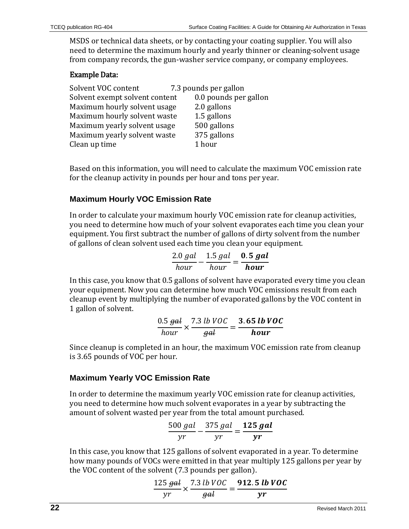MSDS or technical data sheets, or by contacting your coating supplier. You will also need to determine the maximum hourly and yearly thinner or cleaning-solvent usage from company records, the gun-washer service company, or company employees.

#### Example Data:

| Solvent VOC content            | 7.3 pounds per gallon |
|--------------------------------|-----------------------|
| Solvent exempt solvent content | 0.0 pounds per gallon |
| Maximum hourly solvent usage   | 2.0 gallons           |
| Maximum hourly solvent waste   | 1.5 gallons           |
| Maximum yearly solvent usage   | 500 gallons           |
| Maximum yearly solvent waste   | 375 gallons           |
| Clean up time                  | 1 hour                |

Based on this information, you will need to calculate the maximum VOC emission rate for the cleanup activity in pounds per hour and tons per year.

#### **Maximum Hourly VOC Emission Rate**

In order to calculate your maximum hourly VOC emission rate for cleanup activities, you need to determine how much of your solvent evaporates each time you clean your equipment. You first subtract the number of gallons of dirty solvent from the number of gallons of clean solvent used each time you clean your equipment.

$$
\frac{2.0 \ gal}{hour} - \frac{1.5 \ gal}{hour} = \frac{0.5 \ gal}{hour}
$$

In this case, you know that 0.5 gallons of solvent have evaporated every time you clean your equipment. Now you can determine how much VOC emissions result from each cleanup event by multiplying the number of evaporated gallons by the VOC content in 1 gallon of solvent.

$$
\frac{0.5 \text{ gal}}{hour} \times \frac{7.3 \text{ lb } VOC}{\text{gal}} = \frac{3.65 \text{ lb } VOC}{hour}
$$

Since cleanup is completed in an hour, the maximum VOC emission rate from cleanup is 3.65 pounds of VOC per hour.

#### **Maximum Yearly VOC Emission Rate**

In order to determine the maximum yearly VOC emission rate for cleanup activities, you need to determine how much solvent evaporates in a year by subtracting the amount of solvent wasted per year from the total amount purchased.

$$
\frac{500 gal}{yr} - \frac{375 gal}{yr} = \frac{125 gal}{yr}
$$

In this case, you know that 125 gallons of solvent evaporated in a year. To determine how many pounds of VOCs were emitted in that year multiply 125 gallons per year by the VOC content of the solvent (7.3 pounds per gallon).

$$
\frac{125 \text{ gal}}{yr} \times \frac{7.3 \text{ lb } VOC}{\text{gal}} = \frac{912.5 \text{ lb } VOC}{yr}
$$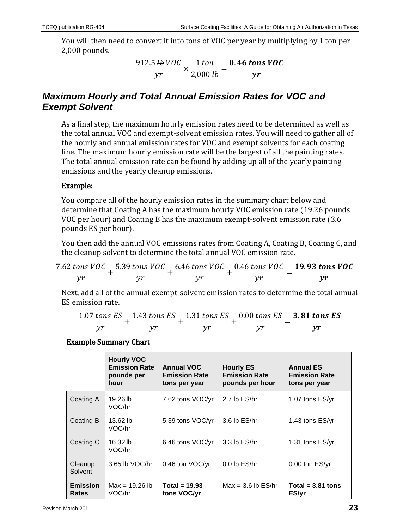You will then need to convert it into tons of VOC per year by multiplying by 1 ton per 2,000 pounds.

$$
\frac{912.5 \text{ lb } VOC}{yr} \times \frac{1 \text{ ton}}{2,000 \text{ lb}} = \frac{0.46 \text{ tons } VOC}{yr}
$$

### *Maximum Hourly and Total Annual Emission Rates for VOC and Exempt Solvent*

As a final step, the maximum hourly emission rates need to be determined as well as the total annual VOC and exempt-solvent emission rates. You will need to gather all of the hourly and annual emission rates for VOC and exempt solvents for each coating line. The maximum hourly emission rate will be the largest of all the painting rates. The total annual emission rate can be found by adding up all of the yearly painting emissions and the yearly cleanup emissions.

#### Example:

You compare all of the hourly emission rates in the summary chart below and determine that Coating A has the maximum hourly VOC emission rate (19.26 pounds VOC per hour) and Coating B has the maximum exempt-solvent emission rate (3.6 pounds ES per hour).

You then add the annual VOC emissions rates from Coating A, Coating B, Coating C, and the cleanup solvent to determine the total annual VOC emission rate.

$$
\frac{7.62 \text{ tons }VOC}{yr} + \frac{5.39 \text{ tons }VOC}{yr} + \frac{6.46 \text{ tons }VOC}{yr} + \frac{0.46 \text{ tons }VOC}{yr} = \frac{19.93 \text{ tons }VOC}{yr}
$$

Next, add all of the annual exempt-solvent emission rates to determine the total annual ES emission rate.

$$
\frac{1.07 \text{ tons ES}}{yr} + \frac{1.43 \text{ tons ES}}{yr} + \frac{1.31 \text{ tons ES}}{yr} + \frac{0.00 \text{ tons ES}}{yr} = \frac{3.81 \text{ tons ES}}{yr}
$$

#### Example Summary Chart

|                                 | <b>Hourly VOC</b><br><b>Emission Rate</b><br>pounds per<br>hour | <b>Annual VOC</b><br><b>Emission Rate</b><br>tons per year | <b>Hourly ES</b><br><b>Emission Rate</b><br>pounds per hour | <b>Annual ES</b><br><b>Emission Rate</b><br>tons per year |
|---------------------------------|-----------------------------------------------------------------|------------------------------------------------------------|-------------------------------------------------------------|-----------------------------------------------------------|
| Coating A                       | 19.26 lb<br>VOC/hr                                              | 7.62 tons VOC/yr                                           | 2.7 lb ES/hr                                                | 1.07 tons ES/yr                                           |
| Coating B                       | 13.62 lb<br>VOC/hr                                              | 5.39 tons VOC/yr                                           | $3.6$ lb $ES/hr$                                            | 1.43 tons ES/yr                                           |
| Coating C                       | 16.32 lb<br>VOC/hr                                              | 6.46 tons VOC/yr                                           | $3.3$ lb $ES/hr$                                            | 1.31 tons ES/yr                                           |
| Cleanup<br>Solvent              | 3.65 lb VOC/hr                                                  | 0.46 ton VOC/yr                                            | $0.0$ lb $ES/hr$                                            | $0.00$ ton $ES/yr$                                        |
| <b>Emission</b><br><b>Rates</b> | $Max = 19.26 lb$<br>VOC/hr                                      | Total = $19.93$<br>tons VOC/yr                             | $Max = 3.6$ lb $ES/hr$                                      | Total = $3.81$ tons<br>ES/yr                              |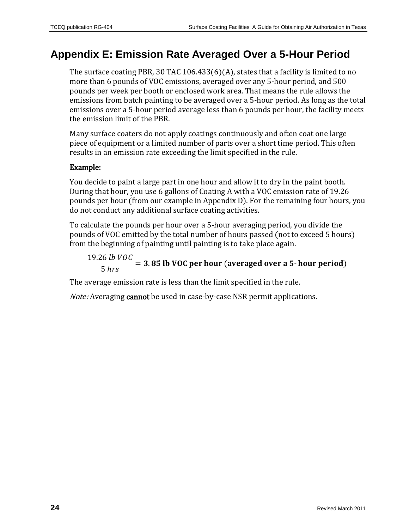# <span id="page-23-0"></span>**Appendix E: Emission Rate Averaged Over a 5-Hour Period**

The surface coating PBR, [30 TAC 106.433\(6\)\(A\),](http://info.sos.state.tx.us/pls/pub/readtac$ext.TacPage?sl=R&app=9&p_dir=&p_rloc=&p_tloc=&p_ploc=&pg=1&p_tac=&ti=30&pt=1&ch=106&rl=433) states that a facility is limited to no more than 6 pounds of VOC emissions, averaged over any 5-hour period, and 500 pounds per week per booth or enclosed work area. That means the rule allows the emissions from batch painting to be averaged over a 5-hour period. As long as the total emissions over a 5-hour period average less than 6 pounds per hour, the facility meets the emission limit of the PBR.

Many surface coaters do not apply coatings continuously and often coat one large piece of equipment or a limited number of parts over a short time period. This often results in an emission rate exceeding the limit specified in the rule.

#### Example:

You decide to paint a large part in one hour and allow it to dry in the paint booth. During that hour, you use 6 gallons of Coating A with a VOC emission rate of 19.26 pounds per hour (from our example in Appendix D). For the remaining four hours, you do not conduct any additional surface coating activities.

To calculate the pounds per hour over a 5-hour averaging period, you divide the pounds of VOC emitted by the total number of hours passed (not to exceed 5 hours) from the beginning of painting until painting is to take place again.

19.26 *lb* VOC  $\frac{1}{5}$  hrs  $\frac{1}{5}$  = 3.85 lb VOC per hour (averaged over a 5-hour period)

The average emission rate is less than the limit specified in the rule.

Note: Averaging cannot be used in case-by-case NSR permit applications.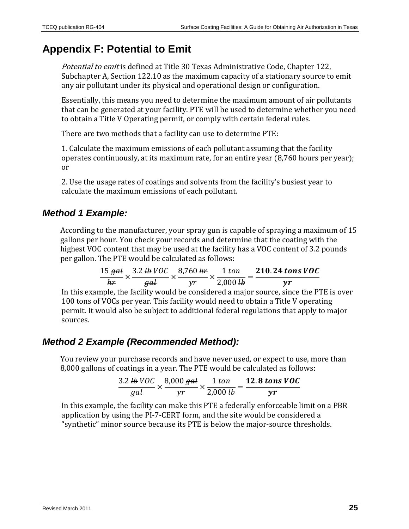# <span id="page-24-0"></span>**Appendix F: Potential to Emit**

Potential to emit is defined at Title 30 Texas Administrative Code, Chapter 122, [Subchapter A, Section 122.10](http://info.sos.state.tx.us/pls/pub/readtac$ext.TacPage?sl=R&app=9&p_dir=&p_rloc=&p_tloc=&p_ploc=&pg=1&p_tac=&ti=30&pt=1&ch=122&rl=10) as the maximum capacity of a stationary source to emit any air pollutant under its physical and operational design or configuration.

Essentially, this means you need to determine the maximum amount of air pollutants that can be generated at your facility. PTE will be used to determine whether you need to obtain a Title V Operating permit, or comply with certain federal rules.

There are two methods that a facility can use to determine PTE:

1. Calculate the maximum emissions of each pollutant assuming that the facility operates continuously, at its maximum rate, for an entire year (8,760 hours per year); or

2. Use the usage rates of coatings and solvents from the facility's busiest year to calculate the maximum emissions of each pollutant.

### *Method 1 Example:*

According to the manufacturer, your spray gun is capable of spraying a maximum of 15 gallons per hour. You check your records and determine that the coating with the highest VOC content that may be used at the facility has a VOC content of 3.2 pounds per gallon. The PTE would be calculated as follows:

|                |     |                          |             | 15 gal $3.2 \frac{\mu}{\mu}$ VOC $8,760 \frac{\mu}{\mu}$ 1 ton 210.24 tons VOC |
|----------------|-----|--------------------------|-------------|--------------------------------------------------------------------------------|
| $h\mathcal{F}$ | gal | $\mathcal{V}\mathcal{T}$ | 2,000 $\mu$ | $\mathbf{v}$                                                                   |

In this example, the facility would be considered a major source, since the PTE is over 100 tons of VOCs per year. This facility would need to obtain a Title V operating permit. It would also be subject to additional federal regulations that apply to major sources.

### *Method 2 Example (Recommended Method):*

You review your purchase records and have never used, or expect to use, more than 8,000 gallons of coatings in a year. The PTE would be calculated as follows:

$$
\frac{3.2 \text{ lb } VOC}{gal} \times \frac{8,000 \text{ gal}}{yr} \times \frac{1 \text{ ton}}{2,000 \text{ lb}} = \frac{12.8 \text{ tons } VOC}{yr}
$$

In this example, the facility can make this PTE a federally enforceable limit on a PBR application by using the PI-7-CERT form, and the site would be considered a "synthetic" minor source because its PTE is below the major-source thresholds.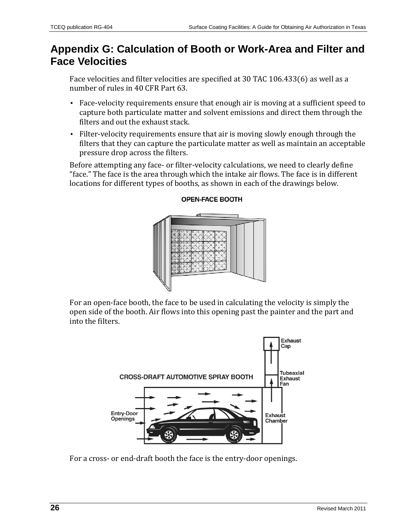# <span id="page-25-0"></span>**Appendix G: Calculation of Booth or Work-Area and Filter and Face Velocities**

Face velocities and filter velocities are specified at [30 TAC 106.433\(6\)](http://info.sos.state.tx.us/pls/pub/readtac$ext.TacPage?sl=R&app=9&p_dir=&p_rloc=&p_tloc=&p_ploc=&pg=1&p_tac=&ti=30&pt=1&ch=106&rl=433) as well as a number of rules in [40 CFR Part 63.](http://www.tceq.state.tx.us/permitting/air/rules/federal/63/63hmpg.html) 

- Face-velocity requirements ensure that enough air is moving at a sufficient speed to capture both particulate matter and solvent emissions and direct them through the filters and out the exhaust stack.
- Filter-velocity requirements ensure that air is moving slowly enough through the filters that they can capture the particulate matter as well as maintain an acceptable pressure drop across the filters.

Before attempting any face- or filter-velocity calculations, we need to clearly define "face." The face is the area through which the intake air flows. The face is in different locations for different types of booths, as shown in each of the drawings below.



#### **OPEN-FACE BOOTH**

For an open-face booth, the face to be used in calculating the velocity is simply the open side of the booth. Air flows into this opening past the painter and the part and into the filters.



For a cross- or end-draft booth the face is the entry-door openings.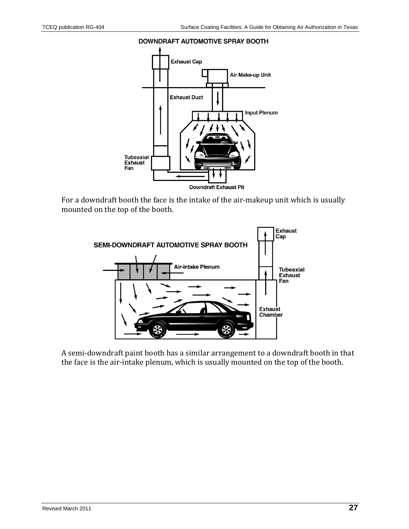#### **DOWNDRAFT AUTOMOTIVE SPRAY BOOTH**



For a downdraft booth the face is the intake of the air-makeup unit which is usually mounted on the top of the booth.



A semi-downdraft paint booth has a similar arrangement to a downdraft booth in that the face is the air-intake plenum, which is usually mounted on the top of the booth.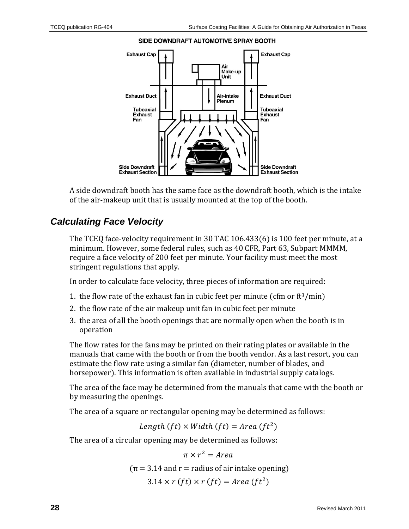

#### SIDE DOWNDRAFT AUTOMOTIVE SPRAY BOOTH

A side downdraft booth has the same face as the downdraft booth, which is the intake of the air-makeup unit that is usually mounted at the top of the booth.

### *Calculating Face Velocity*

The TCEQ face-velocity requirement in [30 TAC 106.433\(6\)](http://info.sos.state.tx.us/pls/pub/readtac$ext.TacPage?sl=R&app=9&p_dir=&p_rloc=&p_tloc=&p_ploc=&pg=1&p_tac=&ti=30&pt=1&ch=106&rl=433) is 100 feet per minute, at a minimum. However, some federal rules, such as [40 CFR, Part 63, Subpart MMMM,](http://ecfr.gpoaccess.gov/cgi/t/text/text-idx?c=ecfr&sid=ff2846d70a9b1e68603ced4a15531ea0&rgn=div6&view=text&node=40:12.0.1.1.1.19&idno=40) require a face velocity of 200 feet per minute. Your facility must meet the most stringent regulations that apply.

In order to calculate face velocity, three pieces of information are required:

- 1. the flow rate of the exhaust fan in cubic feet per minute (cfm or  $ft^3/min$ )
- 2. the flow rate of the air makeup unit fan in cubic feet per minute
- 3. the area of all the booth openings that are normally open when the booth is in operation

The flow rates for the fans may be printed on their rating plates or available in the manuals that came with the booth or from the booth vendor. As a last resort, you can estimate the flow rate using a similar fan (diameter, number of blades, and horsepower). This information is often available in industrial supply catalogs.

The area of the face may be determined from the manuals that came with the booth or by measuring the openings.

The area of a square or rectangular opening may be determined as follows:

Length  $(ft) \times Width(ft) = Area(ft^2)$ 

The area of a circular opening may be determined as follows:

 $\pi \times r^2 = Area$ 

 $(\pi = 3.14$  and  $r =$  radius of air intake opening)

 $3.14 \times r$  (ft)  $\times r$  (ft) = Area (ft<sup>2</sup>)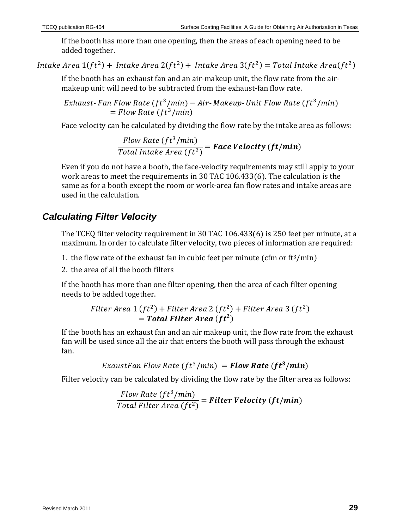If the booth has more than one opening, then the areas of each opening need to be added together.

Intake Area  $1(ft^2)$  + Intake Area  $2(ft^2)$  + Intake Area  $3(ft^2)$  = Total Intake Area( $ft^2$ )

If the booth has an exhaust fan and an air-makeup unit, the flow rate from the airmakeup unit will need to be subtracted from the exhaust-fan flow rate.

Exhaust-Fan Flow Rate  $ft^3/min$  – Air-Makeup-Unit Flow Rate  $ft^3/min$  $=$  Flow Rate (ft<sup>3</sup>/min)

Face velocity can be calculated by dividing the flow rate by the intake area as follows:

Flow Rate  $(f t^3/min)$  $\overline{Total\ Intake\ Area\ (ft^2)}$  = **Face Velocity** (**ft/min**)

Even if you do not have a booth, the face-velocity requirements may still apply to your work areas to meet the requirements in [30 TAC 106.433\(6\).](http://info.sos.state.tx.us/pls/pub/readtac$ext.TacPage?sl=R&app=9&p_dir=&p_rloc=&p_tloc=&p_ploc=&pg=1&p_tac=&ti=30&pt=1&ch=106&rl=433) The calculation is the same as for a booth except the room or work-area fan flow rates and intake areas are used in the calculation.

# *Calculating Filter Velocity*

The TCEQ filter velocity requirement in [30 TAC 106.433\(6\)](http://info.sos.state.tx.us/pls/pub/readtac$ext.TacPage?sl=R&app=9&p_dir=&p_rloc=&p_tloc=&p_ploc=&pg=1&p_tac=&ti=30&pt=1&ch=106&rl=433) is 250 feet per minute, at a maximum. In order to calculate filter velocity, two pieces of information are required:

1. the flow rate of the exhaust fan in cubic feet per minute (cfm or  $ft^3/min$ )

2. the area of all the booth filters

If the booth has more than one filter opening, then the area of each filter opening needs to be added together.

Filter Area 1 
$$
(ft^2)
$$
 + Filter Area 2  $(ft^2)$  + Filter Area 3  $(ft^2)$   
= **Total Filter Area**  $(ft^2)$ 

If the booth has an exhaust fan and an air makeup unit, the flow rate from the exhaust fan will be used since all the air that enters the booth will pass through the exhaust fan.

ExaustFan Flow Rate  $(ft^3/min) =$  **Flow Rate**  $(ft^3/min)$ 

Filter velocity can be calculated by dividing the flow rate by the filter area as follows:

Flow Rate (f t<sup>3</sup>/min)  $\overline{T}$ otal Filter Area (f $t^2)$  = **Filter Velocity (ft/min)**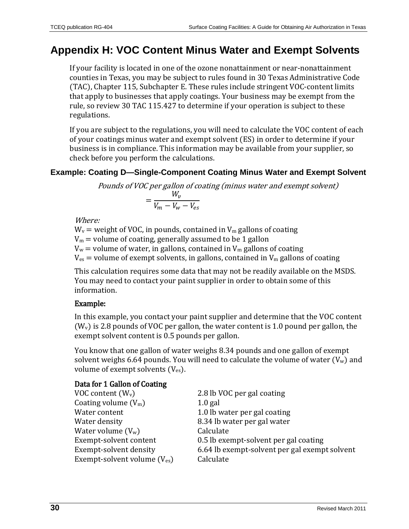# <span id="page-29-0"></span>**Appendix H: VOC Content Minus Water and Exempt Solvents**

If your facility is located in one of the ozone nonattainment or near-nonattainment counties in Texas, you may be subject to rules found in [30 Texas Administrative Code](http://info.sos.state.tx.us/pls/pub/readtac$ext.ViewTAC?tac_view=5&ti=30&pt=1&ch=115&sch=E&div=2&rl=Y)  [\(TAC\), Chapter 115, Subchapter E.](http://info.sos.state.tx.us/pls/pub/readtac$ext.ViewTAC?tac_view=5&ti=30&pt=1&ch=115&sch=E&div=2&rl=Y) These rules include stringent VOC-content limits that apply to businesses that apply coatings. Your business may be exempt from the rule, so review [30 TAC 115.427](http://info.sos.state.tx.us/pls/pub/readtac$ext.TacPage?sl=R&app=9&p_dir=&p_rloc=&p_tloc=&p_ploc=&pg=1&p_tac=&ti=30&pt=1&ch=115&rl=427) to determine if your operation is subject to these regulations.

If you are subject to the regulations, you will need to calculate the VOC content of each of your coatings minus water and exempt solvent (ES) in order to determine if your business is in compliance. This information may be available from your supplier, so check before you perform the calculations.

#### **Example: Coating D—Single-Component Coating Minus Water and Exempt Solvent**

Pounds of VOC per gallon of coating (minus water and exempt solvent)  $=\frac{W_v}{V}-\frac{W_v}{V}$  $V_m - V_w - V_{es}$ 

Where:

 $W_v$  = weight of VOC, in pounds, contained in  $V_m$  gallons of coating  $V_m$  = volume of coating, generally assumed to be 1 gallon  $V_w$  = volume of water, in gallons, contained in  $V_m$  gallons of coating  $V_{\text{es}}$  = volume of exempt solvents, in gallons, contained in  $V_{\text{m}}$  gallons of coating

This calculation requires some data that may not be readily available on the MSDS. You may need to contact your paint supplier in order to obtain some of this information.

#### Example:

In this example, you contact your paint supplier and determine that the VOC content  $(W_v)$  is 2.8 pounds of VOC per gallon, the water content is 1.0 pound per gallon, the exempt solvent content is 0.5 pounds per gallon.

You know that one gallon of water weighs 8.34 pounds and one gallon of exempt solvent weighs 6.64 pounds. You will need to calculate the volume of water  $(V_w)$  and volume of exempt solvents  $(V_{es})$ .

#### Data for 1 Gallon of Coating

| VOC content $(W_v)$                      | 2.8 lb VOC per gal coating                    |
|------------------------------------------|-----------------------------------------------|
| Coating volume $(V_m)$                   | $1.0$ gal                                     |
| Water content                            | 1.0 lb water per gal coating                  |
| Water density                            | 8.34 lb water per gal water                   |
| Water volume $(V_w)$                     | Calculate                                     |
| Exempt-solvent content                   | 0.5 lb exempt-solvent per gal coating         |
| Exempt-solvent density                   | 6.64 lb exempt-solvent per gal exempt solvent |
| Exempt-solvent volume (V <sub>es</sub> ) | Calculate                                     |
|                                          |                                               |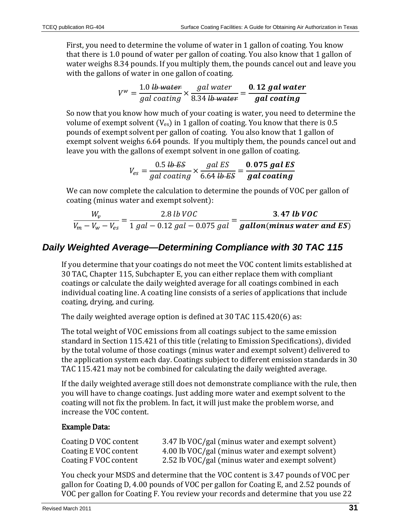First, you need to determine the volume of water in 1 gallon of coating. You know that there is 1.0 pound of water per gallon of coating. You also know that 1 gallon of water weighs 8.34 pounds. If you multiply them, the pounds cancel out and leave you with the gallons of water in one gallon of coating.

$$
V^w = \frac{1.0 \text{ lb water}}{gal\text{ coating}} \times \frac{gal\text{ water}}{8.34 \text{ lb water}} = \frac{0.12 \text{ gal water}}{gal\text{ coating}}
$$

So now that you know how much of your coating is water, you need to determine the volume of exempt solvent ( $V_{es}$ ) in 1 gallon of coating. You know that there is 0.5 pounds of exempt solvent per gallon of coating. You also know that 1 gallon of exempt solvent weighs 6.64 pounds. If you multiply them, the pounds cancel out and leave you with the gallons of exempt solvent in one gallon of coating.

$$
V_{es} = \frac{0.5 \text{ lb } \text{ES}}{gal\text{ coating}} \times \frac{gal\text{ ES}}{6.64 \text{ lb } \text{ES}} = \frac{0.075 \text{ gal } \text{ES}}{gal\text{ coating}}
$$

We can now complete the calculation to determine the pounds of VOC per gallon of coating (minus water and exempt solvent):

$$
\frac{W_v}{V_m - V_w - V_{es}} = \frac{2.8 \text{ lb } VOC}{1 \text{ gal} - 0.12 \text{ gal} - 0.075 \text{ gal}} = \frac{3.47 \text{ lb } VOC}{\text{gallon}(\text{minus water and ES})}
$$

### *Daily Weighted Average—Determining Compliance with [30 TAC 115](http://info.sos.state.tx.us/pls/pub/readtac$ext.ViewTAC?tac_view=4&ti=30&pt=1&ch=115)*

If you determine that your coatings do not meet the VOC content limits established at [30 TAC, Chapter 115, Subchapter E,](http://info.sos.state.tx.us/pls/pub/readtac$ext.ViewTAC?tac_view=5&ti=30&pt=1&ch=115&sch=E&div=2&rl=Y) you can either replace them with compliant coatings or calculate the daily weighted average for all coatings combined in each individual coating line. A coating line consists of a series of applications that include coating, drying, and curing.

The daily weighted average option is defined a[t 30 TAC 115.420\(6\)](http://info.sos.state.tx.us/pls/pub/readtac$ext.TacPage?sl=R&app=9&p_dir=&p_rloc=&p_tloc=&p_ploc=&pg=1&p_tac=&ti=30&pt=1&ch=115&rl=420) as:

The total weight of VOC emissions from all coatings subject to the same emission standard in [Section 115.421](http://info.sos.state.tx.us/pls/pub/readtac$ext.TacPage?sl=R&app=9&p_dir=&p_rloc=&p_tloc=&p_ploc=&pg=1&p_tac=&ti=30&pt=1&ch=115&rl=421) of this title (relating to Emission Specifications), divided by the total volume of those coatings (minus water and exempt solvent) delivered to the application system each day. Coatings subject to different emission standards i[n 30](http://info.sos.state.tx.us/pls/pub/readtac$ext.TacPage?sl=R&app=9&p_dir=&p_rloc=&p_tloc=&p_ploc=&pg=1&p_tac=&ti=30&pt=1&ch=115&rl=421)  [TAC 115.421](http://info.sos.state.tx.us/pls/pub/readtac$ext.TacPage?sl=R&app=9&p_dir=&p_rloc=&p_tloc=&p_ploc=&pg=1&p_tac=&ti=30&pt=1&ch=115&rl=421) may not be combined for calculating the daily weighted average.

If the daily weighted average still does not demonstrate compliance with the rule, then you will have to change coatings. Just adding more water and exempt solvent to the coating will not fix the problem. In fact, it will just make the problem worse, and increase the VOC content.

#### Example Data:

| Coating D VOC content | 3.47 lb VOC/gal (minus water and exempt solvent) |
|-----------------------|--------------------------------------------------|
| Coating E VOC content | 4.00 lb VOC/gal (minus water and exempt solvent) |
| Coating F VOC content | 2.52 lb VOC/gal (minus water and exempt solvent) |

You check your MSDS and determine that the VOC content is 3.47 pounds of VOC per gallon for Coating D, 4.00 pounds of VOC per gallon for Coating E, and 2.52 pounds of VOC per gallon for Coating F. You review your records and determine that you use 22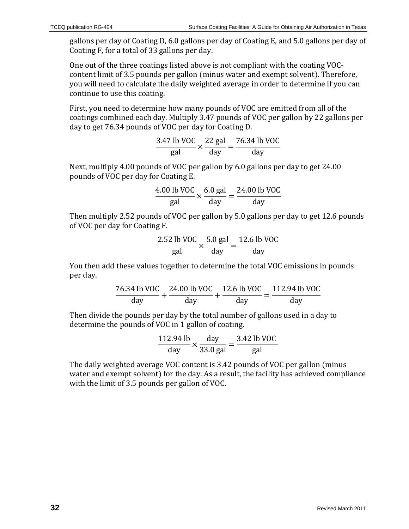gallons per day of Coating D, 6.0 gallons per day of Coating E, and 5.0 gallons per day of Coating F, for a total of 33 gallons per day.

One out of the three coatings listed above is not compliant with the coating VOCcontent limit of 3.5 pounds per gallon (minus water and exempt solvent). Therefore, you will need to calculate the daily weighted average in order to determine if you can continue to use this coating.

First, you need to determine how many pounds of VOC are emitted from all of the coatings combined each day. Multiply 3.47 pounds of VOC per gallon by 22 gallons per day to get 76.34 pounds of VOC per day for Coating D.

$$
\frac{3.47 \text{ lb VOC}}{\text{gal}} \times \frac{22 \text{ gal}}{\text{day}} = \frac{76.34 \text{ lb VOC}}{\text{day}}
$$

Next, multiply 4.00 pounds of VOC per gallon by 6.0 gallons per day to get 24.00 pounds of VOC per day for Coating E.

$$
\frac{4.00 \text{ lb VOC}}{\text{gal}} \times \frac{6.0 \text{ gal}}{\text{day}} = \frac{24.00 \text{ lb VOC}}{\text{day}}
$$

Then multiply 2.52 pounds of VOC per gallon by 5.0 gallons per day to get 12.6 pounds of VOC per day for Coating F.

$$
\frac{2.52 \text{ lb VOC}}{\text{gal}} \times \frac{5.0 \text{ gal}}{\text{day}} = \frac{12.6 \text{ lb VOC}}{\text{day}}
$$

You then add these values together to determine the total VOC emissions in pounds per day.

$$
\frac{76.34 \text{ lb VOC}}{\text{day}} + \frac{24.00 \text{ lb VOC}}{\text{day}} + \frac{12.6 \text{ lb VOC}}{\text{day}} = \frac{112.94 \text{ lb VOC}}{\text{day}}
$$

Then divide the pounds per day by the total number of gallons used in a day to determine the pounds of VOC in 1 gallon of coating.

$$
\frac{112.94 \text{ lb}}{\text{day}} \times \frac{\text{day}}{33.0 \text{ gal}} = \frac{3.42 \text{ lb VOC}}{\text{gal}}
$$

<span id="page-31-0"></span>The daily weighted average VOC content is 3.42 pounds of VOC per gallon (minus water and exempt solvent) for the day. As a result, the facility has achieved compliance with the limit of 3.5 pounds per gallon of VOC.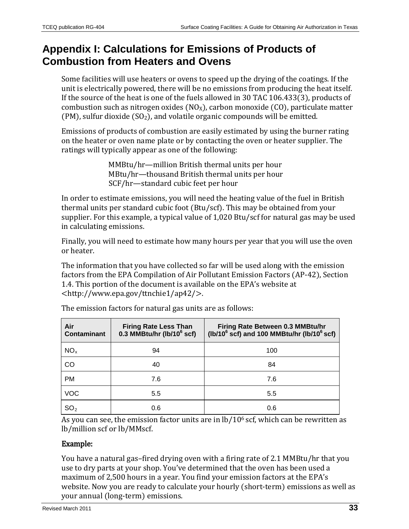# **Appendix I: Calculations for Emissions of Products of Combustion from Heaters and Ovens**

Some facilities will use heaters or ovens to speed up the drying of the coatings. If the unit is electrically powered, there will be no emissions from producing the heat itself. If the source of the heat is one of the fuels allowed in 30 TAC 106.433(3), products of combustion such as nitrogen oxides ( $NO<sub>X</sub>$ ), carbon monoxide (CO), particulate matter (PM), sulfur dioxide  $(SO<sub>2</sub>)$ , and volatile organic compounds will be emitted.

Emissions of products of combustion are easily estimated by using the burner rating on the heater or oven name plate or by contacting the oven or heater supplier. The ratings will typically appear as one of the following:

> MMBtu/hr—million British thermal units per hour MBtu/hr—thousand British thermal units per hour SCF/hr—standard cubic feet per hour

In order to estimate emissions, you will need the heating value of the fuel in British thermal units per standard cubic foot (Btu/scf). This may be obtained from your supplier. For this example, a typical value of 1,020 Btu/scf for natural gas may be used in calculating emissions.

Finally, you will need to estimate how many hours per year that you will use the oven or heater.

The information that you have collected so far will be used along with the emission factors from the EPA Compilation of Air Pollutant Emission Factors (AP-42), Section 1.4. This portion of the document is available on the EPA's website at [<http://www.epa.gov/ttnchie1/ap42/>](http://www.epa.gov/ttnchie1/ap42/).

| Air<br><b>Contaminant</b> | <b>Firing Rate Less Than</b><br>0.3 MMBtu/hr (lb/10 $6$ scf) | Firing Rate Between 0.3 MMBtu/hr<br>(lb/10 $^6$ scf) and 100 MMBtu/hr (lb/10 $^6$ scf) |
|---------------------------|--------------------------------------------------------------|----------------------------------------------------------------------------------------|
| NO <sub>x</sub>           | 94                                                           | 100                                                                                    |
| CO                        | 40                                                           | 84                                                                                     |
| <b>PM</b>                 | 7.6                                                          | 7.6                                                                                    |
| <b>VOC</b>                | 5.5                                                          | 5.5                                                                                    |
| SO <sub>2</sub>           | 0.6                                                          | 0.6                                                                                    |

The emission factors for natural gas units are as follows:

As you can see, the emission factor units are in  $lb/10<sup>6</sup>$  scf, which can be rewritten as lb/million scf or lb/MMscf.

#### Example:

You have a natural gas–fired drying oven with a firing rate of 2.1 MMBtu/hr that you use to dry parts at your shop. You've determined that the oven has been used a maximum of 2,500 hours in a year. You find your emission factors at the EPA's website. Now you are ready to calculate your hourly (short-term) emissions as well as your annual (long-term) emissions.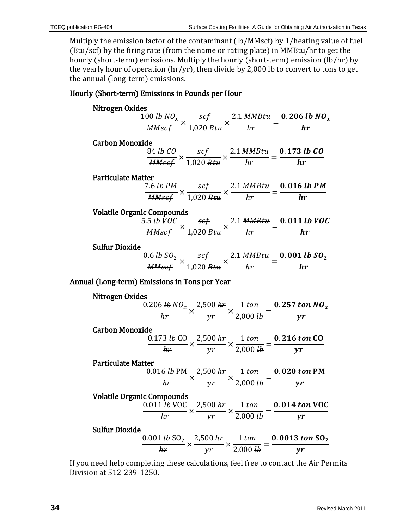Multiply the emission factor of the contaminant (lb/MMscf) by 1/heating value of fuel (Btu/scf) by the firing rate (from the name or rating plate) in MMBtu/hr to get the hourly (short-term) emissions. Multiply the hourly (short-term) emission (lb/hr) by the yearly hour of operation (hr/yr), then divide by 2,000 lb to convert to tons to get the annual (long-term) emissions.

#### Hourly (Short-term) Emissions in Pounds per Hour

| Nitrogen Oxides                               |                                   |  |                                                                                                                                                           |
|-----------------------------------------------|-----------------------------------|--|-----------------------------------------------------------------------------------------------------------------------------------------------------------|
|                                               |                                   |  | $\frac{100 \; lb \; N O_x}{MMsef} \times \frac{sef}{1,020 \; Btu} \times \frac{2.1 \; MMBtu}{hr} = \frac{0.206 \; lb \; N O_x}{hr}$                       |
|                                               |                                   |  |                                                                                                                                                           |
| <b>Carbon Monoxide</b>                        |                                   |  |                                                                                                                                                           |
|                                               |                                   |  | $\frac{84 \text{ lb }CO}{\text{MMsef}} \times \frac{\text{sef}}{1.020 \text{ Btu}} \times \frac{2.1 \text{ MMBtu}}{hr} = \frac{0.173 \text{ lb }CO}{hr}$  |
|                                               |                                   |  |                                                                                                                                                           |
| <b>Particulate Matter</b>                     |                                   |  |                                                                                                                                                           |
|                                               |                                   |  |                                                                                                                                                           |
|                                               |                                   |  | $\frac{7.6 \text{ lb PM}}{MMscf} \times \frac{scf}{1,020 \text{ Btu}} \times \frac{2.1 \text{ MMBtu}}{hr} = \frac{0.016 \text{ lb PM}}{hr}$               |
| <b>Volatile Organic Compounds</b>             |                                   |  |                                                                                                                                                           |
|                                               |                                   |  | $\frac{5.5 \; lb \; \dot VOC}{MMscf} \times \frac{scf}{1,020 \; Btu} \times \frac{2.1 \; MMBtu}{hr} = \frac{0.011 \; lb \; VOC}{hr}$                      |
|                                               |                                   |  |                                                                                                                                                           |
| <b>Sulfur Dioxide</b>                         |                                   |  |                                                                                                                                                           |
|                                               |                                   |  | $\frac{0.6 \text{ lb } SO_2}{MMscf} \times \frac{scf}{1,020 \text{ Btu}} \times \frac{2.1 \text{ MMBtu}}{hr} = \frac{0.001 \text{ lb } SO_2}{hr}$         |
|                                               |                                   |  |                                                                                                                                                           |
| Annual (Long-term) Emissions in Tons per Year |                                   |  |                                                                                                                                                           |
| Nitrogen Oxides                               |                                   |  |                                                                                                                                                           |
|                                               |                                   |  |                                                                                                                                                           |
|                                               |                                   |  | $\frac{0.206 \text{ lb N} O_x}{hr} \times \frac{2,500 \text{ hr}}{yr} \times \frac{1 \text{ ton}}{2,000 \text{ lb}} = \frac{0.257 \text{ ton N} O_x}{yr}$ |
| <b>Carbon Monoxide</b>                        |                                   |  |                                                                                                                                                           |
|                                               |                                   |  | $\frac{0.173 \text{ lb CO}}{hr} \times \frac{2,500 \text{ hr}}{vr} \times \frac{1 \text{ ton}}{2,000 \text{ lb}} = \frac{0.216 \text{ ton CO}}{yr}$       |
|                                               |                                   |  |                                                                                                                                                           |
| <b>Particulate Matter</b>                     |                                   |  |                                                                                                                                                           |
|                                               |                                   |  | $\frac{0.016 \text{ lb PM}}{hr} \times \frac{2,500 \text{ hr}}{yr} \times \frac{1 \text{ ton}}{2,000 \text{ lb}} = \frac{0.020 \text{ ton PM}}{yr}$       |
|                                               |                                   |  |                                                                                                                                                           |
|                                               | <b>Volatile Organic Compounds</b> |  |                                                                                                                                                           |
|                                               |                                   |  | $\frac{0.011 \text{ lb VOC}}{hr} \times \frac{2,500 \text{ hr}}{yr} \times \frac{1 \text{ ton}}{2,000 \text{ lb}} = \frac{0.014 \text{ ton VOC}}{yr}$     |
|                                               |                                   |  |                                                                                                                                                           |
| <b>Sulfur Dioxide</b>                         |                                   |  |                                                                                                                                                           |
|                                               |                                   |  | $\frac{0.001 \text{ lb SO}_2}{hr} \times \frac{2,500 \text{ hr}}{yr} \times \frac{1 \text{ ton}}{2,000 \text{ lb}} = \frac{0.0013 \text{ ton SO}_2}{yr}$  |
|                                               |                                   |  |                                                                                                                                                           |

If you need help completing these calculations, feel free to contact the Air Permits Division at 512-239-1250.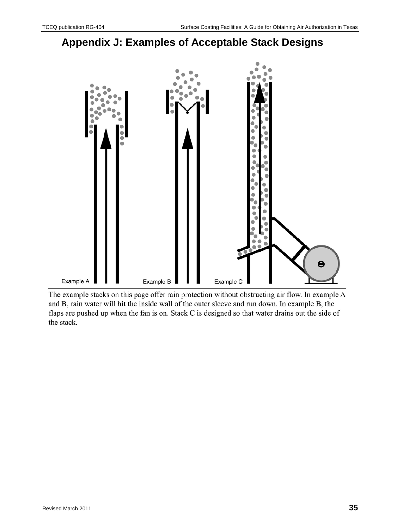# <span id="page-34-0"></span>**Appendix J: Examples of Acceptable Stack Designs**



The example stacks on this page offer rain protection without obstructing air flow. In example A and B, rain water will hit the inside wall of the outer sleeve and run down. In example B, the flaps are pushed up when the fan is on. Stack C is designed so that water drains out the side of the stack.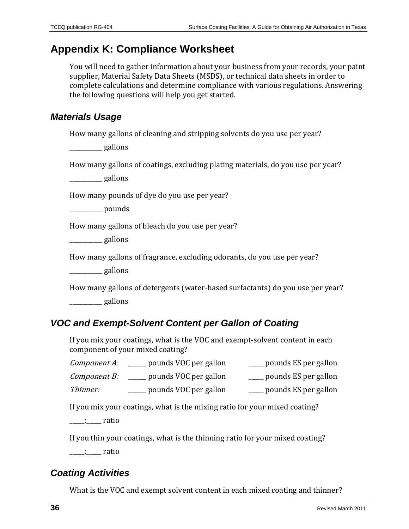# <span id="page-35-0"></span>**Appendix K: Compliance Worksheet**

You will need to gather information about your business from your records, your paint supplier, Material Safety Data Sheets (MSDS), or technical data sheets in order to complete calculations and determine compliance with various regulations. Answering the following questions will help you get started.

### *Materials Usage*

How many gallons of cleaning and stripping solvents do you use per year?

\_\_\_\_\_\_\_\_\_\_\_ gallons

How many gallons of coatings, excluding plating materials, do you use per year?

\_\_\_\_\_\_\_\_\_\_\_ gallons

How many pounds of dye do you use per year?

\_\_\_\_\_\_\_\_\_\_\_ pounds

How many gallons of bleach do you use per year?

\_\_\_\_\_\_\_\_\_\_\_ gallons

How many gallons of fragrance, excluding odorants, do you use per year?

\_\_\_\_\_\_\_\_\_\_\_ gallons

How many gallons of detergents (water-based surfactants) do you use per year? \_\_\_\_\_\_\_\_\_\_\_ gallons

### *VOC and Exempt-Solvent Content per Gallon of Coating*

If you mix your coatings, what is the VOC and exempt-solvent content in each component of your mixed coating?

*Component B:* \_\_\_\_\_ pounds VOC per gallon \_\_\_\_\_ pounds ES per gallon

Thinner: \_\_\_\_\_\_\_ pounds VOC per gallon \_\_\_\_\_\_ pounds ES per gallon

If you mix your coatings, what is the mixing ratio for your mixed coating?

\_\_\_\_\_:\_\_\_\_\_ ratio

If you thin your coatings, what is the thinning ratio for your mixed coating?

\_\_\_\_\_:\_\_\_\_\_ ratio

### *Coating Activities*

What is the VOC and exempt solvent content in each mixed coating and thinner?